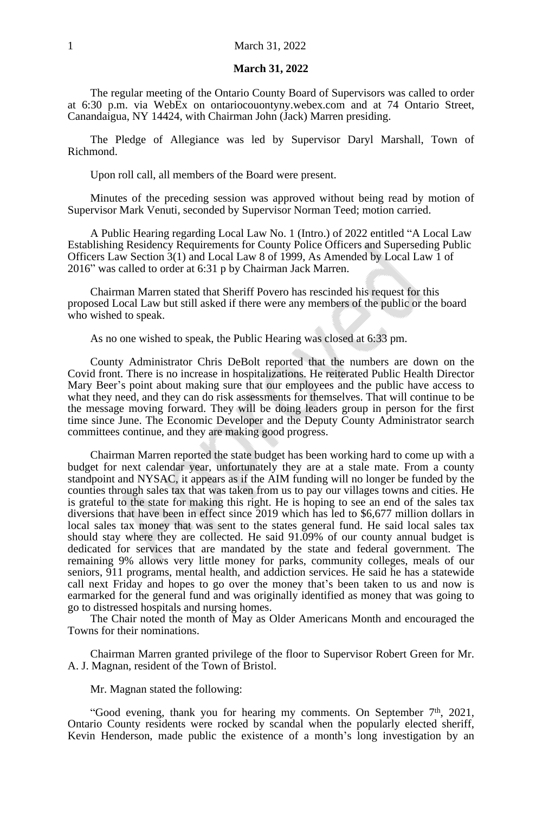#### **March 31, 2022**

The regular meeting of the Ontario County Board of Supervisors was called to order at 6:30 p.m. via WebEx on ontariocouontyny.webex.com and at 74 Ontario Street, Canandaigua, NY 14424, with Chairman John (Jack) Marren presiding.

The Pledge of Allegiance was led by Supervisor Daryl Marshall, Town of Richmond.

Upon roll call, all members of the Board were present.

Minutes of the preceding session was approved without being read by motion of Supervisor Mark Venuti, seconded by Supervisor Norman Teed; motion carried.

A Public Hearing regarding Local Law No. 1 (Intro.) of 2022 entitled "A Local Law Establishing Residency Requirements for County Police Officers and Superseding Public Officers Law Section 3(1) and Local Law 8 of 1999, As Amended by Local Law 1 of 2016" was called to order at 6:31 p by Chairman Jack Marren.

Chairman Marren stated that Sheriff Povero has rescinded his request for this proposed Local Law but still asked if there were any members of the public or the board who wished to speak.

As no one wished to speak, the Public Hearing was closed at 6:33 pm.

County Administrator Chris DeBolt reported that the numbers are down on the Covid front. There is no increase in hospitalizations. He reiterated Public Health Director Mary Beer's point about making sure that our employees and the public have access to what they need, and they can do risk assessments for themselves. That will continue to be the message moving forward. They will be doing leaders group in person for the first time since June. The Economic Developer and the Deputy County Administrator search committees continue, and they are making good progress.

Chairman Marren reported the state budget has been working hard to come up with a budget for next calendar year, unfortunately they are at a stale mate. From a county standpoint and NYSAC, it appears as if the AIM funding will no longer be funded by the counties through sales tax that was taken from us to pay our villages towns and cities. He is grateful to the state for making this right. He is hoping to see an end of the sales tax diversions that have been in effect since 2019 which has led to \$6,677 million dollars in local sales tax money that was sent to the states general fund. He said local sales tax should stay where they are collected. He said 91.09% of our county annual budget is dedicated for services that are mandated by the state and federal government. The remaining 9% allows very little money for parks, community colleges, meals of our seniors, 911 programs, mental health, and addiction services. He said he has a statewide call next Friday and hopes to go over the money that's been taken to us and now is earmarked for the general fund and was originally identified as money that was going to go to distressed hospitals and nursing homes.

The Chair noted the month of May as Older Americans Month and encouraged the Towns for their nominations.

Chairman Marren granted privilege of the floor to Supervisor Robert Green for Mr. A. J. Magnan, resident of the Town of Bristol.

Mr. Magnan stated the following:

"Good evening, thank you for hearing my comments. On September  $7<sup>th</sup>$ , 2021, Ontario County residents were rocked by scandal when the popularly elected sheriff, Kevin Henderson, made public the existence of a month's long investigation by an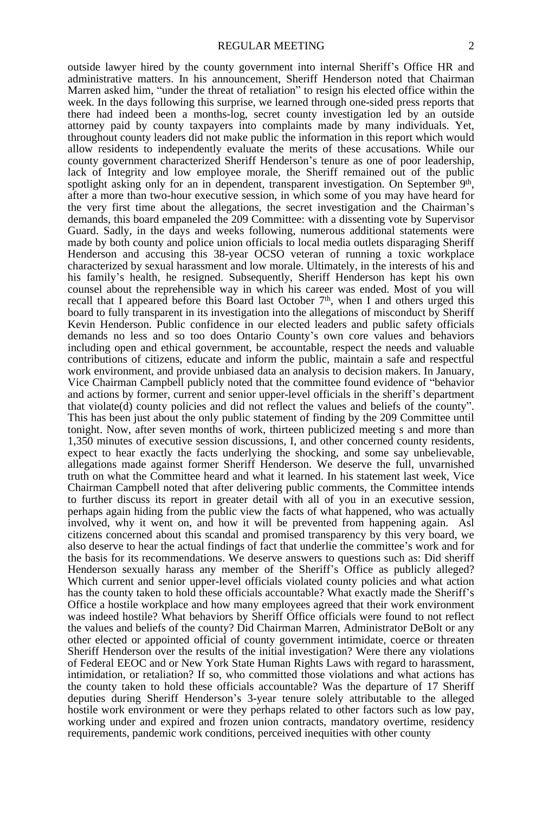outside lawyer hired by the county government into internal Sheriff's Office HR and administrative matters. In his announcement, Sheriff Henderson noted that Chairman Marren asked him, "under the threat of retaliation" to resign his elected office within the week. In the days following this surprise, we learned through one-sided press reports that there had indeed been a months-log, secret county investigation led by an outside attorney paid by county taxpayers into complaints made by many individuals. Yet, throughout county leaders did not make public the information in this report which would allow residents to independently evaluate the merits of these accusations. While our county government characterized Sheriff Henderson's tenure as one of poor leadership, lack of Integrity and low employee morale, the Sheriff remained out of the public spotlight asking only for an in dependent, transparent investigation. On September 9th, after a more than two-hour executive session, in which some of you may have heard for the very first time about the allegations, the secret investigation and the Chairman's demands, this board empaneled the 209 Committee: with a dissenting vote by Supervisor Guard. Sadly, in the days and weeks following, numerous additional statements were made by both county and police union officials to local media outlets disparaging Sheriff Henderson and accusing this 38-year OCSO veteran of running a toxic workplace characterized by sexual harassment and low morale. Ultimately, in the interests of his and his family's health, he resigned. Subsequently, Sheriff Henderson has kept his own counsel about the reprehensible way in which his career was ended. Most of you will recall that I appeared before this Board last October  $7<sup>th</sup>$ , when I and others urged this board to fully transparent in its investigation into the allegations of misconduct by Sheriff Kevin Henderson. Public confidence in our elected leaders and public safety officials demands no less and so too does Ontario County's own core values and behaviors including open and ethical government, be accountable, respect the needs and valuable contributions of citizens, educate and inform the public, maintain a safe and respectful work environment, and provide unbiased data an analysis to decision makers. In January, Vice Chairman Campbell publicly noted that the committee found evidence of "behavior and actions by former, current and senior upper-level officials in the sheriff's department that violate(d) county policies and did not reflect the values and beliefs of the county". This has been just about the only public statement of finding by the 209 Committee until tonight. Now, after seven months of work, thirteen publicized meeting s and more than 1,350 minutes of executive session discussions, I, and other concerned county residents, expect to hear exactly the facts underlying the shocking, and some say unbelievable, allegations made against former Sheriff Henderson. We deserve the full, unvarnished truth on what the Committee heard and what it learned. In his statement last week, Vice Chairman Campbell noted that after delivering public comments, the Committee intends to further discuss its report in greater detail with all of you in an executive session, perhaps again hiding from the public view the facts of what happened, who was actually involved, why it went on, and how it will be prevented from happening again. Asl citizens concerned about this scandal and promised transparency by this very board, we also deserve to hear the actual findings of fact that underlie the committee's work and for the basis for its recommendations. We deserve answers to questions such as: Did sheriff Henderson sexually harass any member of the Sheriff's Office as publicly alleged? Which current and senior upper-level officials violated county policies and what action has the county taken to hold these officials accountable? What exactly made the Sheriff's Office a hostile workplace and how many employees agreed that their work environment was indeed hostile? What behaviors by Sheriff Office officials were found to not reflect the values and beliefs of the county? Did Chairman Marren, Administrator DeBolt or any other elected or appointed official of county government intimidate, coerce or threaten Sheriff Henderson over the results of the initial investigation? Were there any violations of Federal EEOC and or New York State Human Rights Laws with regard to harassment, intimidation, or retaliation? If so, who committed those violations and what actions has the county taken to hold these officials accountable? Was the departure of 17 Sheriff deputies during Sheriff Henderson's 3-year tenure solely attributable to the alleged hostile work environment or were they perhaps related to other factors such as low pay, working under and expired and frozen union contracts, mandatory overtime, residency requirements, pandemic work conditions, perceived inequities with other county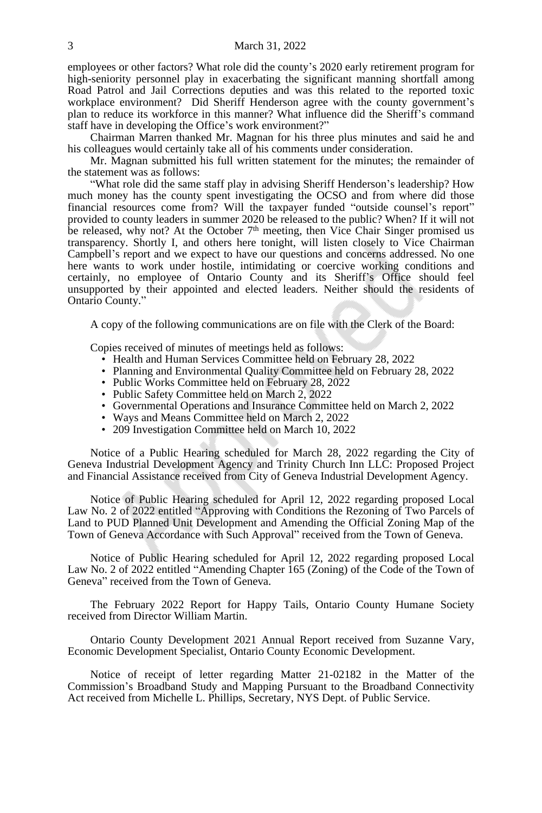employees or other factors? What role did the county's 2020 early retirement program for high-seniority personnel play in exacerbating the significant manning shortfall among Road Patrol and Jail Corrections deputies and was this related to the reported toxic workplace environment? Did Sheriff Henderson agree with the county government's plan to reduce its workforce in this manner? What influence did the Sheriff's command staff have in developing the Office's work environment?"

Chairman Marren thanked Mr. Magnan for his three plus minutes and said he and his colleagues would certainly take all of his comments under consideration.

Mr. Magnan submitted his full written statement for the minutes; the remainder of the statement was as follows:

"What role did the same staff play in advising Sheriff Henderson's leadership? How much money has the county spent investigating the OCSO and from where did those financial resources come from? Will the taxpayer funded "outside counsel's report" provided to county leaders in summer 2020 be released to the public? When? If it will not be released, why not? At the October 7<sup>th</sup> meeting, then Vice Chair Singer promised us transparency. Shortly I, and others here tonight, will listen closely to Vice Chairman Campbell's report and we expect to have our questions and concerns addressed. No one here wants to work under hostile, intimidating or coercive working conditions and certainly, no employee of Ontario County and its Sheriff's Office should feel unsupported by their appointed and elected leaders. Neither should the residents of Ontario County."

A copy of the following communications are on file with the Clerk of the Board:

Copies received of minutes of meetings held as follows:

- Health and Human Services Committee held on February 28, 2022
- Planning and Environmental Quality Committee held on February 28, 2022
- Public Works Committee held on February 28, 2022
- Public Safety Committee held on March 2, 2022
- Governmental Operations and Insurance Committee held on March 2, 2022
- Ways and Means Committee held on March 2, 2022
- 209 Investigation Committee held on March 10, 2022

Notice of a Public Hearing scheduled for March 28, 2022 regarding the City of Geneva Industrial Development Agency and Trinity Church Inn LLC: Proposed Project and Financial Assistance received from City of Geneva Industrial Development Agency.

Notice of Public Hearing scheduled for April 12, 2022 regarding proposed Local Law No. 2 of 2022 entitled "Approving with Conditions the Rezoning of Two Parcels of Land to PUD Planned Unit Development and Amending the Official Zoning Map of the Town of Geneva Accordance with Such Approval" received from the Town of Geneva.

Notice of Public Hearing scheduled for April 12, 2022 regarding proposed Local Law No. 2 of 2022 entitled "Amending Chapter 165 (Zoning) of the Code of the Town of Geneva" received from the Town of Geneva.

The February 2022 Report for Happy Tails, Ontario County Humane Society received from Director William Martin.

Ontario County Development 2021 Annual Report received from Suzanne Vary, Economic Development Specialist, Ontario County Economic Development.

Notice of receipt of letter regarding Matter 21-02182 in the Matter of the Commission's Broadband Study and Mapping Pursuant to the Broadband Connectivity Act received from Michelle L. Phillips, Secretary, NYS Dept. of Public Service.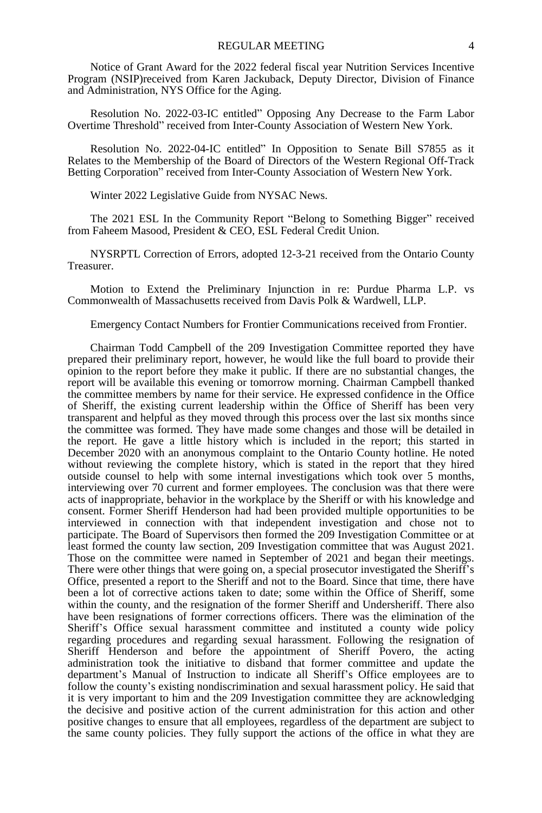Notice of Grant Award for the 2022 federal fiscal year Nutrition Services Incentive Program (NSIP)received from Karen Jackuback, Deputy Director, Division of Finance and Administration, NYS Office for the Aging.

Resolution No. 2022-03-IC entitled" Opposing Any Decrease to the Farm Labor Overtime Threshold" received from Inter-County Association of Western New York.

Resolution No. 2022-04-IC entitled" In Opposition to Senate Bill S7855 as it Relates to the Membership of the Board of Directors of the Western Regional Off-Track Betting Corporation" received from Inter-County Association of Western New York.

Winter 2022 Legislative Guide from NYSAC News.

The 2021 ESL In the Community Report "Belong to Something Bigger" received from Faheem Masood, President & CEO, ESL Federal Credit Union.

NYSRPTL Correction of Errors, adopted 12-3-21 received from the Ontario County Treasurer.

Motion to Extend the Preliminary Injunction in re: Purdue Pharma L.P. vs Commonwealth of Massachusetts received from Davis Polk & Wardwell, LLP.

Emergency Contact Numbers for Frontier Communications received from Frontier.

Chairman Todd Campbell of the 209 Investigation Committee reported they have prepared their preliminary report, however, he would like the full board to provide their opinion to the report before they make it public. If there are no substantial changes, the report will be available this evening or tomorrow morning. Chairman Campbell thanked the committee members by name for their service. He expressed confidence in the Office of Sheriff, the existing current leadership within the Office of Sheriff has been very transparent and helpful as they moved through this process over the last six months since the committee was formed. They have made some changes and those will be detailed in the report. He gave a little history which is included in the report; this started in December 2020 with an anonymous complaint to the Ontario County hotline. He noted without reviewing the complete history, which is stated in the report that they hired outside counsel to help with some internal investigations which took over 5 months, interviewing over 70 current and former employees. The conclusion was that there were acts of inappropriate, behavior in the workplace by the Sheriff or with his knowledge and consent. Former Sheriff Henderson had had been provided multiple opportunities to be interviewed in connection with that independent investigation and chose not to participate. The Board of Supervisors then formed the 209 Investigation Committee or at least formed the county law section, 209 Investigation committee that was August 2021. Those on the committee were named in September of 2021 and began their meetings. There were other things that were going on, a special prosecutor investigated the Sheriff's Office, presented a report to the Sheriff and not to the Board. Since that time, there have been a lot of corrective actions taken to date; some within the Office of Sheriff, some within the county, and the resignation of the former Sheriff and Undersheriff. There also have been resignations of former corrections officers. There was the elimination of the Sheriff's Office sexual harassment committee and instituted a county wide policy regarding procedures and regarding sexual harassment. Following the resignation of Sheriff Henderson and before the appointment of Sheriff Povero, the acting administration took the initiative to disband that former committee and update the department's Manual of Instruction to indicate all Sheriff's Office employees are to follow the county's existing nondiscrimination and sexual harassment policy. He said that it is very important to him and the 209 Investigation committee they are acknowledging the decisive and positive action of the current administration for this action and other positive changes to ensure that all employees, regardless of the department are subject to the same county policies. They fully support the actions of the office in what they are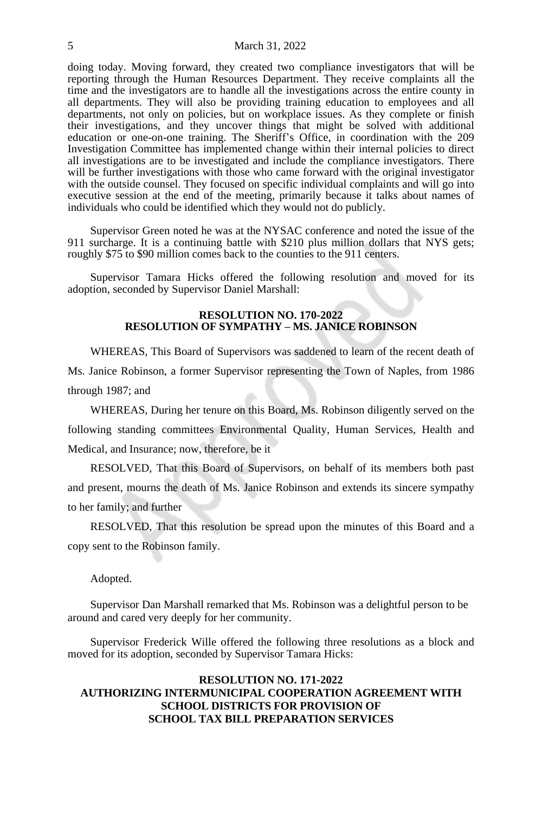doing today. Moving forward, they created two compliance investigators that will be reporting through the Human Resources Department. They receive complaints all the time and the investigators are to handle all the investigations across the entire county in all departments. They will also be providing training education to employees and all departments, not only on policies, but on workplace issues. As they complete or finish their investigations, and they uncover things that might be solved with additional education or one-on-one training. The Sheriff's Office, in coordination with the 209 Investigation Committee has implemented change within their internal policies to direct all investigations are to be investigated and include the compliance investigators. There will be further investigations with those who came forward with the original investigator with the outside counsel. They focused on specific individual complaints and will go into executive session at the end of the meeting, primarily because it talks about names of individuals who could be identified which they would not do publicly.

Supervisor Green noted he was at the NYSAC conference and noted the issue of the 911 surcharge. It is a continuing battle with \$210 plus million dollars that NYS gets; roughly \$75 to \$90 million comes back to the counties to the 911 centers.

Supervisor Tamara Hicks offered the following resolution and moved for its adoption, seconded by Supervisor Daniel Marshall:

#### **RESOLUTION NO. 170-2022 RESOLUTION OF SYMPATHY – MS. JANICE ROBINSON**

WHEREAS, This Board of Supervisors was saddened to learn of the recent death of Ms. Janice Robinson, a former Supervisor representing the Town of Naples, from 1986 through 1987; and

WHEREAS, During her tenure on this Board, Ms. Robinson diligently served on the following standing committees Environmental Quality, Human Services, Health and Medical, and Insurance; now, therefore, be it

RESOLVED, That this Board of Supervisors, on behalf of its members both past and present, mourns the death of Ms. Janice Robinson and extends its sincere sympathy to her family; and further

RESOLVED, That this resolution be spread upon the minutes of this Board and a copy sent to the Robinson family.

Adopted.

Supervisor Dan Marshall remarked that Ms. Robinson was a delightful person to be around and cared very deeply for her community.

Supervisor Frederick Wille offered the following three resolutions as a block and moved for its adoption, seconded by Supervisor Tamara Hicks:

# **RESOLUTION NO. 171-2022 AUTHORIZING INTERMUNICIPAL COOPERATION AGREEMENT WITH SCHOOL DISTRICTS FOR PROVISION OF SCHOOL TAX BILL PREPARATION SERVICES**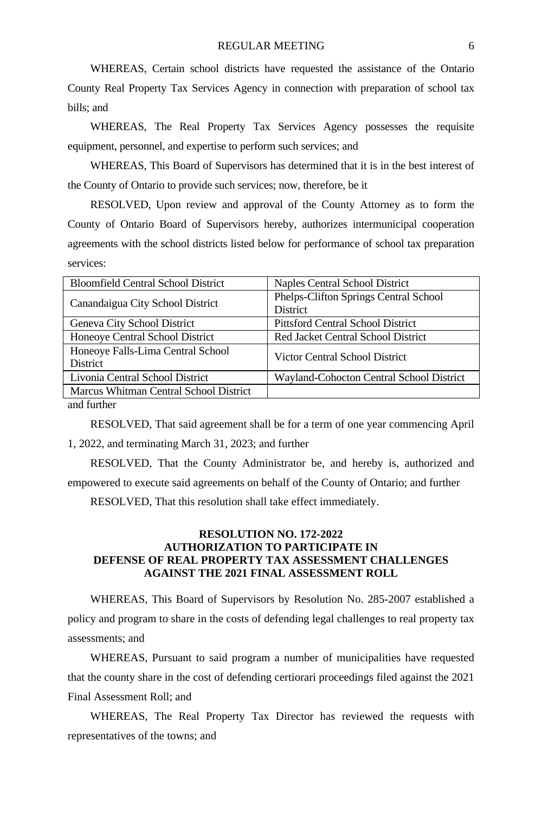WHEREAS, Certain school districts have requested the assistance of the Ontario County Real Property Tax Services Agency in connection with preparation of school tax bills; and

WHEREAS, The Real Property Tax Services Agency possesses the requisite equipment, personnel, and expertise to perform such services; and

WHEREAS, This Board of Supervisors has determined that it is in the best interest of the County of Ontario to provide such services; now, therefore, be it

RESOLVED, Upon review and approval of the County Attorney as to form the County of Ontario Board of Supervisors hereby, authorizes intermunicipal cooperation agreements with the school districts listed below for performance of school tax preparation services:

| <b>Bloomfield Central School District</b> | Naples Central School District           |  |
|-------------------------------------------|------------------------------------------|--|
|                                           | Phelps-Clifton Springs Central School    |  |
| Canandaigua City School District          | <b>District</b>                          |  |
| Geneva City School District               | <b>Pittsford Central School District</b> |  |
| Honeove Central School District           | Red Jacket Central School District       |  |
| Honeoye Falls-Lima Central School         | Victor Central School District           |  |
| District                                  |                                          |  |
| Livonia Central School District           | Wayland-Cohocton Central School District |  |
| Marcus Whitman Central School District    |                                          |  |
| $\cdots$                                  |                                          |  |

and further

RESOLVED, That said agreement shall be for a term of one year commencing April 1, 2022, and terminating March 31, 2023; and further

RESOLVED, That the County Administrator be, and hereby is, authorized and empowered to execute said agreements on behalf of the County of Ontario; and further

RESOLVED, That this resolution shall take effect immediately.

# **RESOLUTION NO. 172-2022 AUTHORIZATION TO PARTICIPATE IN DEFENSE OF REAL PROPERTY TAX ASSESSMENT CHALLENGES AGAINST THE 2021 FINAL ASSESSMENT ROLL**

WHEREAS, This Board of Supervisors by Resolution No. 285-2007 established a policy and program to share in the costs of defending legal challenges to real property tax assessments; and

WHEREAS, Pursuant to said program a number of municipalities have requested that the county share in the cost of defending certiorari proceedings filed against the 2021 Final Assessment Roll; and

WHEREAS, The Real Property Tax Director has reviewed the requests with representatives of the towns; and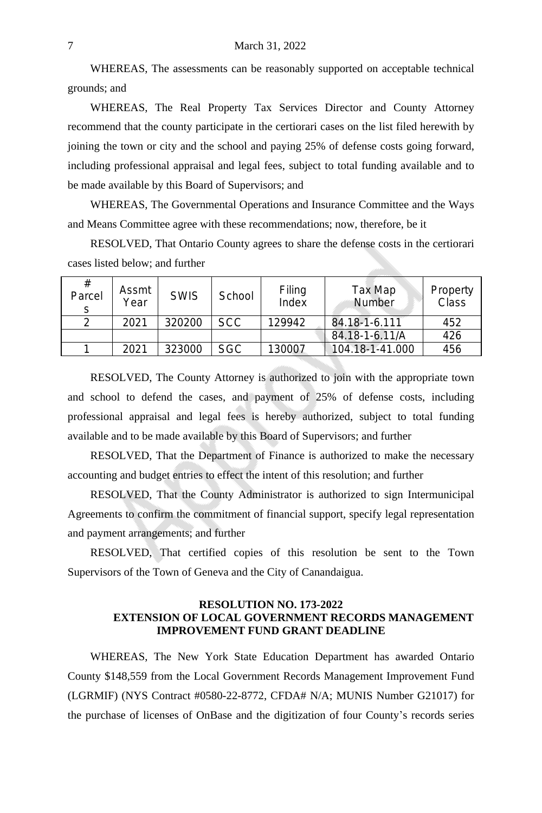WHEREAS, The assessments can be reasonably supported on acceptable technical grounds; and

WHEREAS, The Real Property Tax Services Director and County Attorney recommend that the county participate in the certiorari cases on the list filed herewith by joining the town or city and the school and paying 25% of defense costs going forward, including professional appraisal and legal fees, subject to total funding available and to be made available by this Board of Supervisors; and

WHEREAS, The Governmental Operations and Insurance Committee and the Ways and Means Committee agree with these recommendations; now, therefore, be it

RESOLVED, That Ontario County agrees to share the defense costs in the certiorari cases listed below; and further

| #<br>Parcel | Assmt<br>Year | <b>SWIS</b> | School     | Filing<br>Index | Tax Map<br>Number | Property<br>Class |
|-------------|---------------|-------------|------------|-----------------|-------------------|-------------------|
|             | 2021          | 320200      | <b>SCC</b> | 129942          | 84.18-1-6.111     | 452               |
|             |               |             |            |                 | 84.18-1-6.11/A    | 426               |
|             | 2021          | 323000      | <b>SGC</b> | 130007          | 104.18-1-41.000   | 456               |

RESOLVED, The County Attorney is authorized to join with the appropriate town and school to defend the cases, and payment of 25% of defense costs, including professional appraisal and legal fees is hereby authorized, subject to total funding available and to be made available by this Board of Supervisors; and further

RESOLVED, That the Department of Finance is authorized to make the necessary accounting and budget entries to effect the intent of this resolution; and further

RESOLVED, That the County Administrator is authorized to sign Intermunicipal Agreements to confirm the commitment of financial support, specify legal representation and payment arrangements; and further

RESOLVED, That certified copies of this resolution be sent to the Town Supervisors of the Town of Geneva and the City of Canandaigua.

#### **RESOLUTION NO. 173-2022 EXTENSION OF LOCAL GOVERNMENT RECORDS MANAGEMENT IMPROVEMENT FUND GRANT DEADLINE**

WHEREAS, The New York State Education Department has awarded Ontario County \$148,559 from the Local Government Records Management Improvement Fund (LGRMIF) (NYS Contract #0580-22-8772, CFDA# N/A; MUNIS Number G21017) for the purchase of licenses of OnBase and the digitization of four County's records series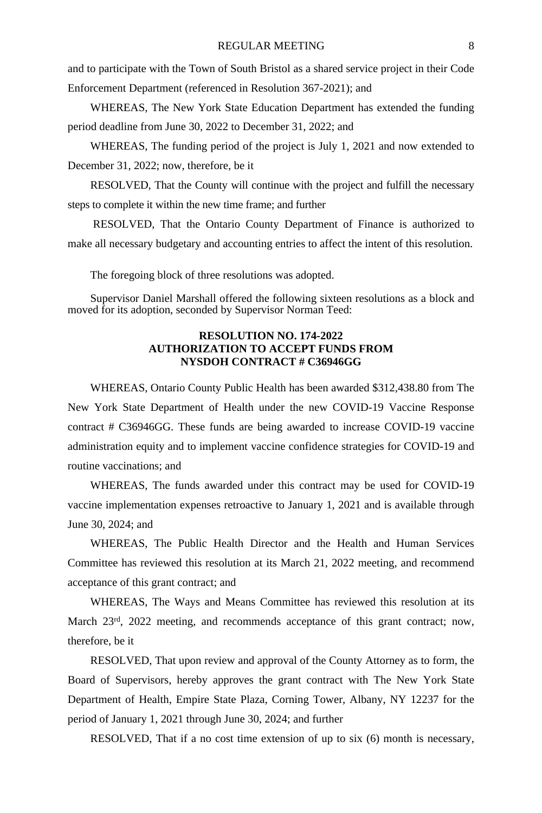and to participate with the Town of South Bristol as a shared service project in their Code Enforcement Department (referenced in Resolution 367-2021); and

WHEREAS, The New York State Education Department has extended the funding period deadline from June 30, 2022 to December 31, 2022; and

WHEREAS, The funding period of the project is July 1, 2021 and now extended to December 31, 2022; now, therefore, be it

RESOLVED, That the County will continue with the project and fulfill the necessary steps to complete it within the new time frame; and further

RESOLVED, That the Ontario County Department of Finance is authorized to make all necessary budgetary and accounting entries to affect the intent of this resolution.

The foregoing block of three resolutions was adopted.

Supervisor Daniel Marshall offered the following sixteen resolutions as a block and moved for its adoption, seconded by Supervisor Norman Teed:

# **RESOLUTION NO. 174-2022 AUTHORIZATION TO ACCEPT FUNDS FROM NYSDOH CONTRACT # C36946GG**

WHEREAS, Ontario County Public Health has been awarded \$312,438.80 from The New York State Department of Health under the new COVID-19 Vaccine Response contract # C36946GG. These funds are being awarded to increase COVID-19 vaccine administration equity and to implement vaccine confidence strategies for COVID-19 and routine vaccinations; and

WHEREAS, The funds awarded under this contract may be used for COVID-19 vaccine implementation expenses retroactive to January 1, 2021 and is available through June 30, 2024; and

WHEREAS, The Public Health Director and the Health and Human Services Committee has reviewed this resolution at its March 21, 2022 meeting, and recommend acceptance of this grant contract; and

WHEREAS, The Ways and Means Committee has reviewed this resolution at its March 23<sup>rd</sup>, 2022 meeting, and recommends acceptance of this grant contract; now, therefore, be it

RESOLVED, That upon review and approval of the County Attorney as to form, the Board of Supervisors, hereby approves the grant contract with The New York State Department of Health, Empire State Plaza, Corning Tower, Albany, NY 12237 for the period of January 1, 2021 through June 30, 2024; and further

RESOLVED, That if a no cost time extension of up to six (6) month is necessary,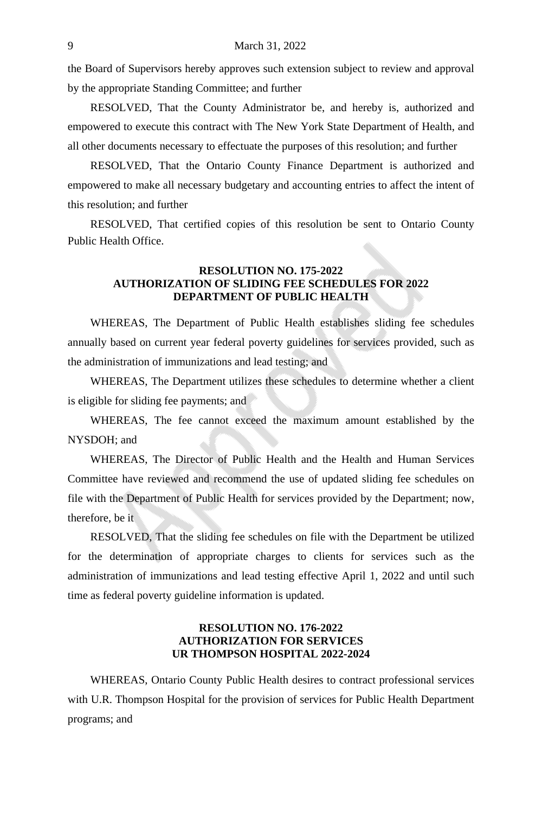the Board of Supervisors hereby approves such extension subject to review and approval by the appropriate Standing Committee; and further

RESOLVED, That the County Administrator be, and hereby is, authorized and empowered to execute this contract with The New York State Department of Health, and all other documents necessary to effectuate the purposes of this resolution; and further

RESOLVED, That the Ontario County Finance Department is authorized and empowered to make all necessary budgetary and accounting entries to affect the intent of this resolution; and further

RESOLVED, That certified copies of this resolution be sent to Ontario County Public Health Office.

# **RESOLUTION NO. 175-2022 AUTHORIZATION OF SLIDING FEE SCHEDULES FOR 2022 DEPARTMENT OF PUBLIC HEALTH**

WHEREAS, The Department of Public Health establishes sliding fee schedules annually based on current year federal poverty guidelines for services provided, such as the administration of immunizations and lead testing; and

WHEREAS, The Department utilizes these schedules to determine whether a client is eligible for sliding fee payments; and

WHEREAS, The fee cannot exceed the maximum amount established by the NYSDOH; and

WHEREAS, The Director of Public Health and the Health and Human Services Committee have reviewed and recommend the use of updated sliding fee schedules on file with the Department of Public Health for services provided by the Department; now, therefore, be it

RESOLVED, That the sliding fee schedules on file with the Department be utilized for the determination of appropriate charges to clients for services such as the administration of immunizations and lead testing effective April 1, 2022 and until such time as federal poverty guideline information is updated.

## **RESOLUTION NO. 176-2022 AUTHORIZATION FOR SERVICES UR THOMPSON HOSPITAL 2022-2024**

WHEREAS, Ontario County Public Health desires to contract professional services with U.R. Thompson Hospital for the provision of services for Public Health Department programs; and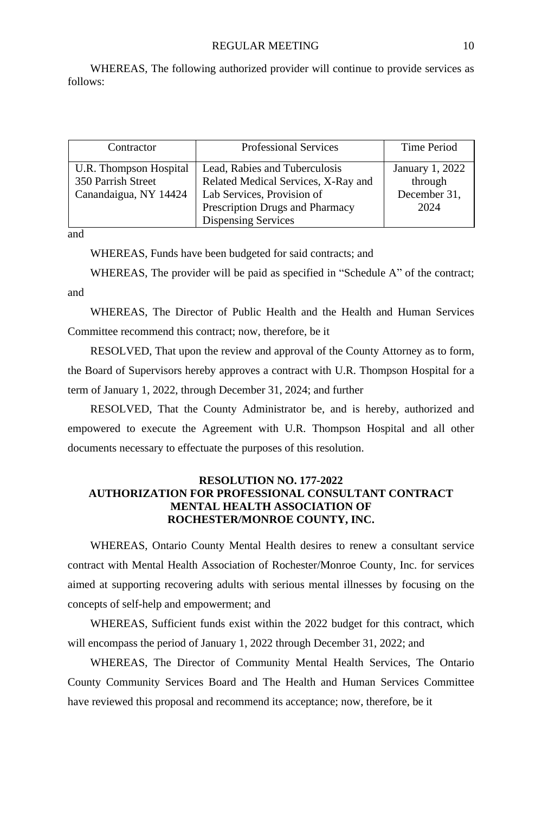WHEREAS, The following authorized provider will continue to provide services as follows:

| Contractor                                                            | <b>Professional Services</b>                                                                                                                                        | Time Period                                        |
|-----------------------------------------------------------------------|---------------------------------------------------------------------------------------------------------------------------------------------------------------------|----------------------------------------------------|
| U.R. Thompson Hospital<br>350 Parrish Street<br>Canandaigua, NY 14424 | Lead, Rabies and Tuberculosis<br>Related Medical Services, X-Ray and<br>Lab Services, Provision of<br>Prescription Drugs and Pharmacy<br><b>Dispensing Services</b> | January 1, 2022<br>through<br>December 31,<br>2024 |

and

WHEREAS, Funds have been budgeted for said contracts; and

WHEREAS, The provider will be paid as specified in "Schedule A" of the contract; and

WHEREAS, The Director of Public Health and the Health and Human Services Committee recommend this contract; now, therefore, be it

RESOLVED, That upon the review and approval of the County Attorney as to form, the Board of Supervisors hereby approves a contract with U.R. Thompson Hospital for a term of January 1, 2022, through December 31, 2024; and further

RESOLVED, That the County Administrator be, and is hereby, authorized and empowered to execute the Agreement with U.R. Thompson Hospital and all other documents necessary to effectuate the purposes of this resolution.

#### **RESOLUTION NO. 177-2022 AUTHORIZATION FOR PROFESSIONAL CONSULTANT CONTRACT MENTAL HEALTH ASSOCIATION OF ROCHESTER/MONROE COUNTY, INC.**

WHEREAS, Ontario County Mental Health desires to renew a consultant service contract with Mental Health Association of Rochester/Monroe County, Inc. for services aimed at supporting recovering adults with serious mental illnesses by focusing on the concepts of self-help and empowerment; and

WHEREAS, Sufficient funds exist within the 2022 budget for this contract, which will encompass the period of January 1, 2022 through December 31, 2022; and

WHEREAS, The Director of Community Mental Health Services, The Ontario County Community Services Board and The Health and Human Services Committee have reviewed this proposal and recommend its acceptance; now, therefore, be it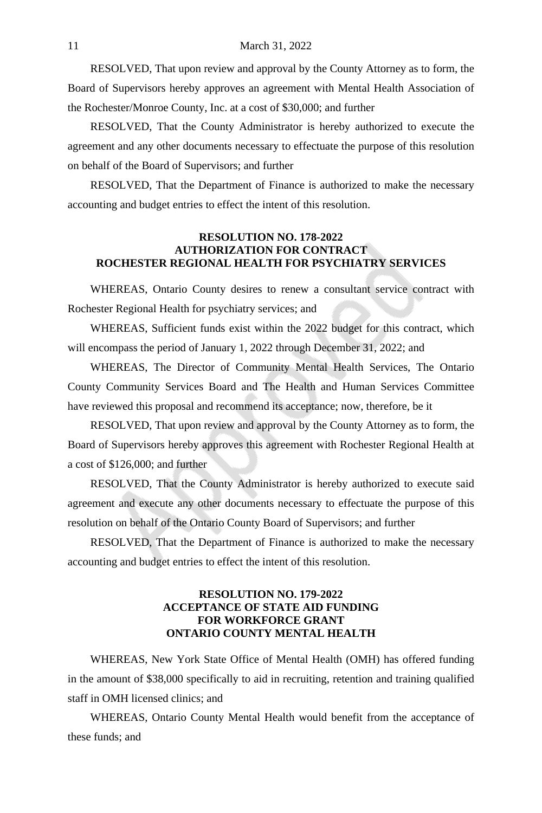RESOLVED, That upon review and approval by the County Attorney as to form, the Board of Supervisors hereby approves an agreement with Mental Health Association of the Rochester/Monroe County, Inc. at a cost of \$30,000; and further

RESOLVED, That the County Administrator is hereby authorized to execute the agreement and any other documents necessary to effectuate the purpose of this resolution on behalf of the Board of Supervisors; and further

RESOLVED, That the Department of Finance is authorized to make the necessary accounting and budget entries to effect the intent of this resolution.

# **RESOLUTION NO. 178-2022 AUTHORIZATION FOR CONTRACT ROCHESTER REGIONAL HEALTH FOR PSYCHIATRY SERVICES**

WHEREAS, Ontario County desires to renew a consultant service contract with Rochester Regional Health for psychiatry services; and

WHEREAS, Sufficient funds exist within the 2022 budget for this contract, which will encompass the period of January 1, 2022 through December 31, 2022; and

WHEREAS, The Director of Community Mental Health Services, The Ontario County Community Services Board and The Health and Human Services Committee have reviewed this proposal and recommend its acceptance; now, therefore, be it

RESOLVED, That upon review and approval by the County Attorney as to form, the Board of Supervisors hereby approves this agreement with Rochester Regional Health at a cost of \$126,000; and further

RESOLVED, That the County Administrator is hereby authorized to execute said agreement and execute any other documents necessary to effectuate the purpose of this resolution on behalf of the Ontario County Board of Supervisors; and further

RESOLVED, That the Department of Finance is authorized to make the necessary accounting and budget entries to effect the intent of this resolution.

# **RESOLUTION NO. 179-2022 ACCEPTANCE OF STATE AID FUNDING FOR WORKFORCE GRANT ONTARIO COUNTY MENTAL HEALTH**

WHEREAS, New York State Office of Mental Health (OMH) has offered funding in the amount of \$38,000 specifically to aid in recruiting, retention and training qualified staff in OMH licensed clinics; and

WHEREAS, Ontario County Mental Health would benefit from the acceptance of these funds; and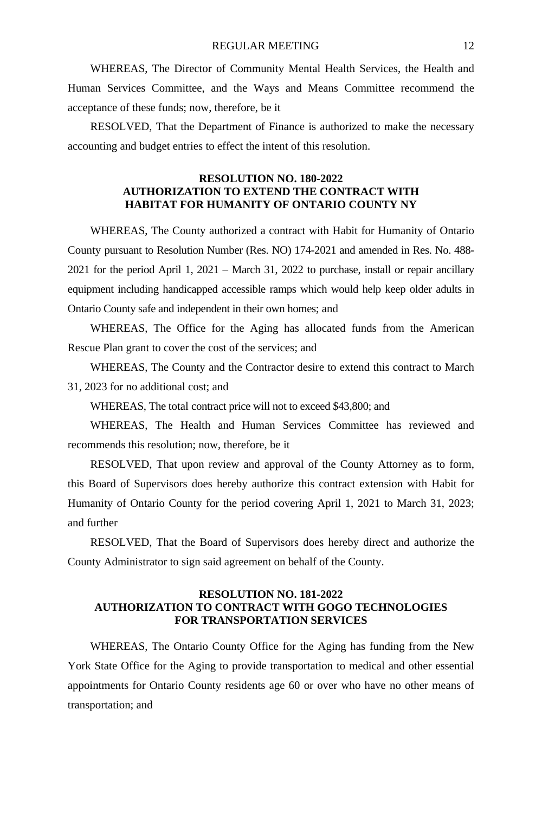WHEREAS, The Director of Community Mental Health Services, the Health and Human Services Committee, and the Ways and Means Committee recommend the acceptance of these funds; now, therefore, be it

RESOLVED, That the Department of Finance is authorized to make the necessary accounting and budget entries to effect the intent of this resolution.

## **RESOLUTION NO. 180-2022 AUTHORIZATION TO EXTEND THE CONTRACT WITH HABITAT FOR HUMANITY OF ONTARIO COUNTY NY**

WHEREAS, The County authorized a contract with Habit for Humanity of Ontario County pursuant to Resolution Number (Res. NO) 174-2021 and amended in Res. No. 488- 2021 for the period April 1, 2021 – March 31, 2022 to purchase, install or repair ancillary equipment including handicapped accessible ramps which would help keep older adults in Ontario County safe and independent in their own homes; and

WHEREAS, The Office for the Aging has allocated funds from the American Rescue Plan grant to cover the cost of the services; and

WHEREAS, The County and the Contractor desire to extend this contract to March 31, 2023 for no additional cost; and

WHEREAS, The total contract price will not to exceed \$43,800; and

WHEREAS, The Health and Human Services Committee has reviewed and recommends this resolution; now, therefore, be it

RESOLVED, That upon review and approval of the County Attorney as to form, this Board of Supervisors does hereby authorize this contract extension with Habit for Humanity of Ontario County for the period covering April 1, 2021 to March 31, 2023; and further

RESOLVED, That the Board of Supervisors does hereby direct and authorize the County Administrator to sign said agreement on behalf of the County.

#### **RESOLUTION NO. 181-2022 AUTHORIZATION TO CONTRACT WITH GOGO TECHNOLOGIES FOR TRANSPORTATION SERVICES**

WHEREAS, The Ontario County Office for the Aging has funding from the New York State Office for the Aging to provide transportation to medical and other essential appointments for Ontario County residents age 60 or over who have no other means of transportation; and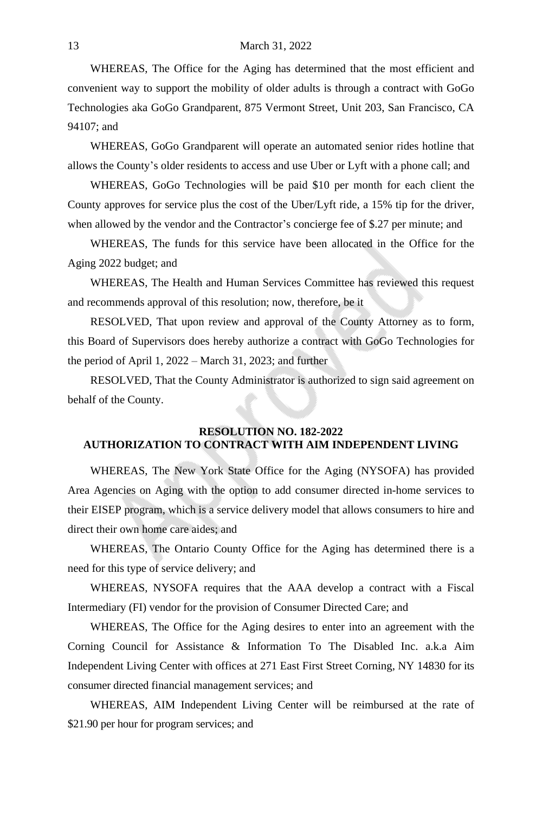#### 13 March 31, 2022

WHEREAS, The Office for the Aging has determined that the most efficient and convenient way to support the mobility of older adults is through a contract with GoGo Technologies aka GoGo Grandparent, 875 Vermont Street, Unit 203, San Francisco, CA 94107; and

WHEREAS, GoGo Grandparent will operate an automated senior rides hotline that allows the County's older residents to access and use Uber or Lyft with a phone call; and

WHEREAS, GoGo Technologies will be paid \$10 per month for each client the County approves for service plus the cost of the Uber/Lyft ride, a 15% tip for the driver, when allowed by the vendor and the Contractor's concierge fee of \$.27 per minute; and

WHEREAS, The funds for this service have been allocated in the Office for the Aging 2022 budget; and

WHEREAS, The Health and Human Services Committee has reviewed this request and recommends approval of this resolution; now, therefore, be it

RESOLVED, That upon review and approval of the County Attorney as to form, this Board of Supervisors does hereby authorize a contract with GoGo Technologies for the period of April 1, 2022 – March 31, 2023; and further

RESOLVED, That the County Administrator is authorized to sign said agreement on behalf of the County.

# **RESOLUTION NO. 182-2022 AUTHORIZATION TO CONTRACT WITH AIM INDEPENDENT LIVING**

WHEREAS, The New York State Office for the Aging (NYSOFA) has provided Area Agencies on Aging with the option to add consumer directed in-home services to their EISEP program, which is a service delivery model that allows consumers to hire and direct their own home care aides; and

WHEREAS, The Ontario County Office for the Aging has determined there is a need for this type of service delivery; and

WHEREAS, NYSOFA requires that the AAA develop a contract with a Fiscal Intermediary (FI) vendor for the provision of Consumer Directed Care; and

WHEREAS, The Office for the Aging desires to enter into an agreement with the Corning Council for Assistance & Information To The Disabled Inc. a.k.a Aim Independent Living Center with offices at 271 East First Street Corning, NY 14830 for its consumer directed financial management services; and

WHEREAS, AIM Independent Living Center will be reimbursed at the rate of \$21.90 per hour for program services; and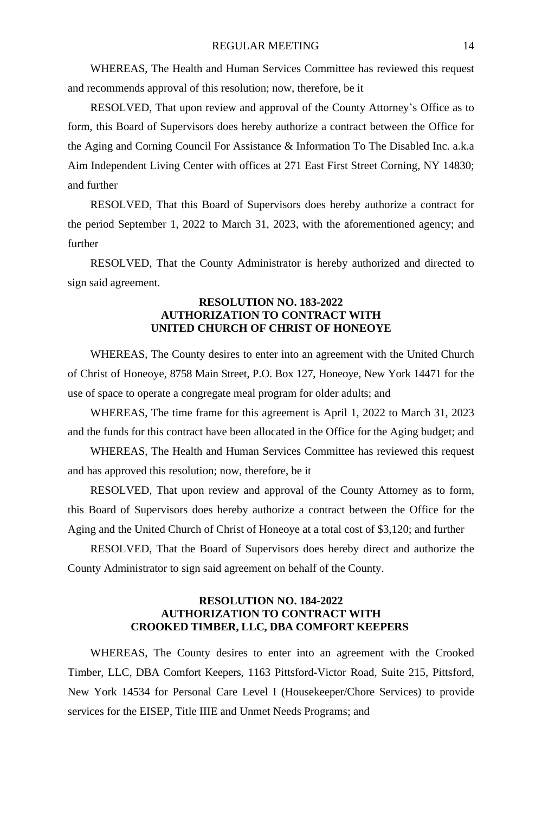WHEREAS, The Health and Human Services Committee has reviewed this request and recommends approval of this resolution; now, therefore, be it

RESOLVED, That upon review and approval of the County Attorney's Office as to form, this Board of Supervisors does hereby authorize a contract between the Office for the Aging and Corning Council For Assistance & Information To The Disabled Inc. a.k.a Aim Independent Living Center with offices at 271 East First Street Corning, NY 14830; and further

RESOLVED, That this Board of Supervisors does hereby authorize a contract for the period September 1, 2022 to March 31, 2023, with the aforementioned agency; and further

RESOLVED, That the County Administrator is hereby authorized and directed to sign said agreement.

# **RESOLUTION NO. 183-2022 AUTHORIZATION TO CONTRACT WITH UNITED CHURCH OF CHRIST OF HONEOYE**

WHEREAS, The County desires to enter into an agreement with the United Church of Christ of Honeoye, 8758 Main Street, P.O. Box 127, Honeoye, New York 14471 for the use of space to operate a congregate meal program for older adults; and

WHEREAS, The time frame for this agreement is April 1, 2022 to March 31, 2023 and the funds for this contract have been allocated in the Office for the Aging budget; and

WHEREAS, The Health and Human Services Committee has reviewed this request and has approved this resolution; now, therefore, be it

RESOLVED, That upon review and approval of the County Attorney as to form, this Board of Supervisors does hereby authorize a contract between the Office for the Aging and the United Church of Christ of Honeoye at a total cost of \$3,120; and further

RESOLVED, That the Board of Supervisors does hereby direct and authorize the County Administrator to sign said agreement on behalf of the County.

# **RESOLUTION NO. 184-2022 AUTHORIZATION TO CONTRACT WITH CROOKED TIMBER, LLC, DBA COMFORT KEEPERS**

WHEREAS, The County desires to enter into an agreement with the Crooked Timber, LLC, DBA Comfort Keepers, 1163 Pittsford-Victor Road, Suite 215, Pittsford, New York 14534 for Personal Care Level I (Housekeeper/Chore Services) to provide services for the EISEP, Title IIIE and Unmet Needs Programs; and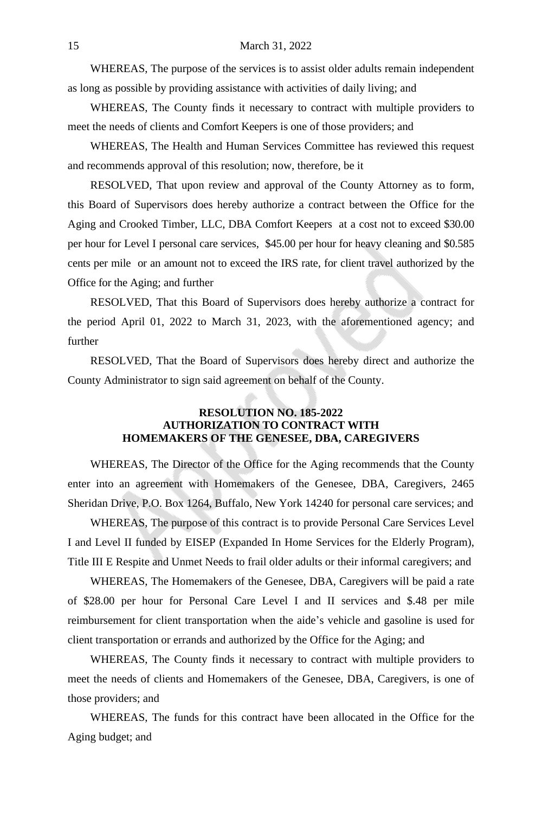WHEREAS, The purpose of the services is to assist older adults remain independent as long as possible by providing assistance with activities of daily living; and

WHEREAS, The County finds it necessary to contract with multiple providers to meet the needs of clients and Comfort Keepers is one of those providers; and

WHEREAS, The Health and Human Services Committee has reviewed this request and recommends approval of this resolution; now, therefore, be it

RESOLVED, That upon review and approval of the County Attorney as to form, this Board of Supervisors does hereby authorize a contract between the Office for the Aging and Crooked Timber, LLC, DBA Comfort Keepers at a cost not to exceed \$30.00 per hour for Level I personal care services, \$45.00 per hour for heavy cleaning and \$0.585 cents per mile or an amount not to exceed the IRS rate, for client travel authorized by the Office for the Aging; and further

RESOLVED, That this Board of Supervisors does hereby authorize a contract for the period April 01, 2022 to March 31, 2023, with the aforementioned agency; and further

RESOLVED, That the Board of Supervisors does hereby direct and authorize the County Administrator to sign said agreement on behalf of the County.

# **RESOLUTION NO. 185-2022 AUTHORIZATION TO CONTRACT WITH HOMEMAKERS OF THE GENESEE, DBA, CAREGIVERS**

WHEREAS, The Director of the Office for the Aging recommends that the County enter into an agreement with Homemakers of the Genesee, DBA, Caregivers, 2465 Sheridan Drive, P.O. Box 1264, Buffalo, New York 14240 for personal care services; and

WHEREAS, The purpose of this contract is to provide Personal Care Services Level I and Level II funded by EISEP (Expanded In Home Services for the Elderly Program), Title III E Respite and Unmet Needs to frail older adults or their informal caregivers; and

WHEREAS, The Homemakers of the Genesee, DBA, Caregivers will be paid a rate of \$28.00 per hour for Personal Care Level I and II services and \$.48 per mile reimbursement for client transportation when the aide's vehicle and gasoline is used for client transportation or errands and authorized by the Office for the Aging; and

WHEREAS, The County finds it necessary to contract with multiple providers to meet the needs of clients and Homemakers of the Genesee, DBA, Caregivers, is one of those providers; and

WHEREAS, The funds for this contract have been allocated in the Office for the Aging budget; and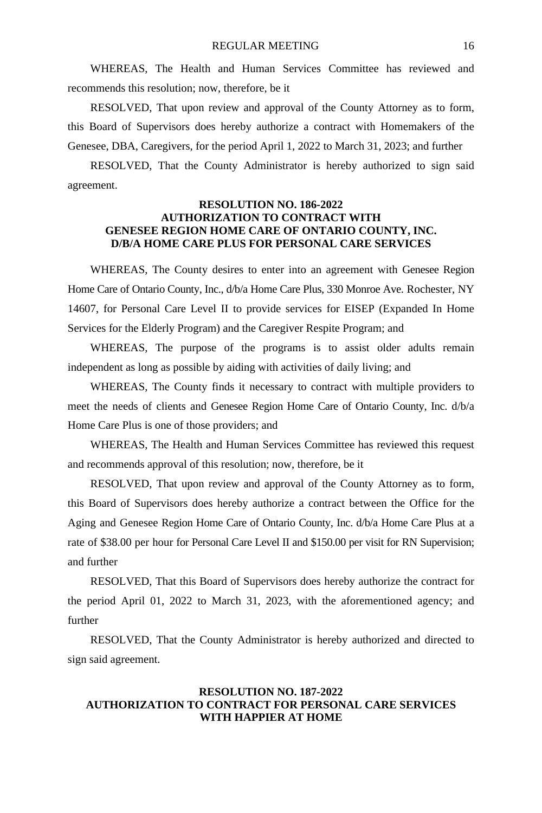WHEREAS, The Health and Human Services Committee has reviewed and recommends this resolution; now, therefore, be it

RESOLVED, That upon review and approval of the County Attorney as to form, this Board of Supervisors does hereby authorize a contract with Homemakers of the Genesee, DBA, Caregivers, for the period April 1, 2022 to March 31, 2023; and further

RESOLVED, That the County Administrator is hereby authorized to sign said agreement.

#### **RESOLUTION NO. 186-2022 AUTHORIZATION TO CONTRACT WITH GENESEE REGION HOME CARE OF ONTARIO COUNTY, INC. D/B/A HOME CARE PLUS FOR PERSONAL CARE SERVICES**

WHEREAS, The County desires to enter into an agreement with Genesee Region Home Care of Ontario County, Inc., d/b/a Home Care Plus, 330 Monroe Ave. Rochester, NY 14607, for Personal Care Level II to provide services for EISEP (Expanded In Home Services for the Elderly Program) and the Caregiver Respite Program; and

WHEREAS, The purpose of the programs is to assist older adults remain independent as long as possible by aiding with activities of daily living; and

WHEREAS, The County finds it necessary to contract with multiple providers to meet the needs of clients and Genesee Region Home Care of Ontario County, Inc. d/b/a Home Care Plus is one of those providers; and

WHEREAS, The Health and Human Services Committee has reviewed this request and recommends approval of this resolution; now, therefore, be it

RESOLVED, That upon review and approval of the County Attorney as to form, this Board of Supervisors does hereby authorize a contract between the Office for the Aging and Genesee Region Home Care of Ontario County, Inc. d/b/a Home Care Plus at a rate of \$38.00 per hour for Personal Care Level II and \$150.00 per visit for RN Supervision; and further

RESOLVED, That this Board of Supervisors does hereby authorize the contract for the period April 01, 2022 to March 31, 2023, with the aforementioned agency; and further

RESOLVED, That the County Administrator is hereby authorized and directed to sign said agreement.

# **RESOLUTION NO. 187-2022 AUTHORIZATION TO CONTRACT FOR PERSONAL CARE SERVICES WITH HAPPIER AT HOME**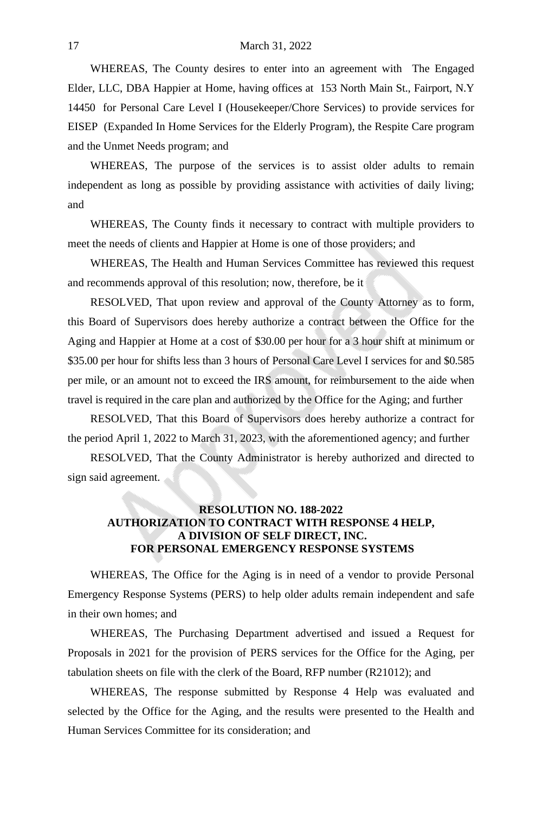WHEREAS, The County desires to enter into an agreement with The Engaged Elder, LLC, DBA Happier at Home, having offices at 153 North Main St., Fairport, N.Y 14450 for Personal Care Level I (Housekeeper/Chore Services) to provide services for EISEP (Expanded In Home Services for the Elderly Program), the Respite Care program and the Unmet Needs program; and

WHEREAS, The purpose of the services is to assist older adults to remain independent as long as possible by providing assistance with activities of daily living; and

WHEREAS, The County finds it necessary to contract with multiple providers to meet the needs of clients and Happier at Home is one of those providers; and

WHEREAS, The Health and Human Services Committee has reviewed this request and recommends approval of this resolution; now, therefore, be it

RESOLVED, That upon review and approval of the County Attorney as to form, this Board of Supervisors does hereby authorize a contract between the Office for the Aging and Happier at Home at a cost of \$30.00 per hour for a 3 hour shift at minimum or \$35.00 per hour for shifts less than 3 hours of Personal Care Level I services for and \$0.585 per mile, or an amount not to exceed the IRS amount, for reimbursement to the aide when travel is required in the care plan and authorized by the Office for the Aging; and further

RESOLVED, That this Board of Supervisors does hereby authorize a contract for the period April 1, 2022 to March 31, 2023, with the aforementioned agency; and further

RESOLVED, That the County Administrator is hereby authorized and directed to sign said agreement.

## **RESOLUTION NO. 188-2022 AUTHORIZATION TO CONTRACT WITH RESPONSE 4 HELP, A DIVISION OF SELF DIRECT, INC. FOR PERSONAL EMERGENCY RESPONSE SYSTEMS**

WHEREAS, The Office for the Aging is in need of a vendor to provide Personal Emergency Response Systems (PERS) to help older adults remain independent and safe in their own homes; and

WHEREAS, The Purchasing Department advertised and issued a Request for Proposals in 2021 for the provision of PERS services for the Office for the Aging, per tabulation sheets on file with the clerk of the Board, RFP number (R21012); and

WHEREAS, The response submitted by Response 4 Help was evaluated and selected by the Office for the Aging, and the results were presented to the Health and Human Services Committee for its consideration; and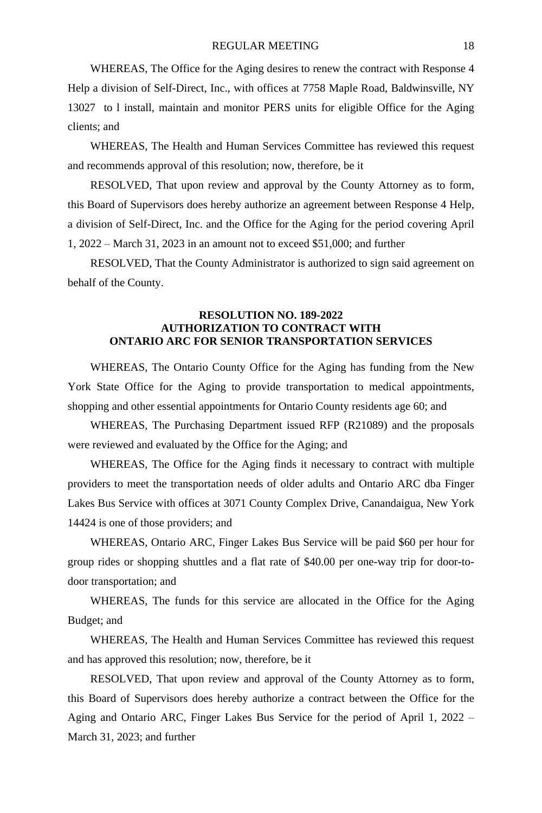WHEREAS, The Office for the Aging desires to renew the contract with Response 4 Help a division of Self-Direct, Inc., with offices at 7758 Maple Road, Baldwinsville, NY 13027 to l install, maintain and monitor PERS units for eligible Office for the Aging clients; and

WHEREAS, The Health and Human Services Committee has reviewed this request and recommends approval of this resolution; now, therefore, be it

RESOLVED, That upon review and approval by the County Attorney as to form, this Board of Supervisors does hereby authorize an agreement between Response 4 Help, a division of Self-Direct, Inc. and the Office for the Aging for the period covering April 1, 2022 – March 31, 2023 in an amount not to exceed \$51,000; and further

RESOLVED, That the County Administrator is authorized to sign said agreement on behalf of the County.

#### **RESOLUTION NO. 189-2022 AUTHORIZATION TO CONTRACT WITH ONTARIO ARC FOR SENIOR TRANSPORTATION SERVICES**

WHEREAS, The Ontario County Office for the Aging has funding from the New York State Office for the Aging to provide transportation to medical appointments, shopping and other essential appointments for Ontario County residents age 60; and

WHEREAS, The Purchasing Department issued RFP (R21089) and the proposals were reviewed and evaluated by the Office for the Aging; and

WHEREAS, The Office for the Aging finds it necessary to contract with multiple providers to meet the transportation needs of older adults and Ontario ARC dba Finger Lakes Bus Service with offices at 3071 County Complex Drive, Canandaigua, New York 14424 is one of those providers; and

WHEREAS, Ontario ARC, Finger Lakes Bus Service will be paid \$60 per hour for group rides or shopping shuttles and a flat rate of \$40.00 per one-way trip for door-todoor transportation; and

WHEREAS, The funds for this service are allocated in the Office for the Aging Budget; and

WHEREAS, The Health and Human Services Committee has reviewed this request and has approved this resolution; now, therefore, be it

RESOLVED, That upon review and approval of the County Attorney as to form, this Board of Supervisors does hereby authorize a contract between the Office for the Aging and Ontario ARC, Finger Lakes Bus Service for the period of April 1, 2022 – March 31, 2023; and further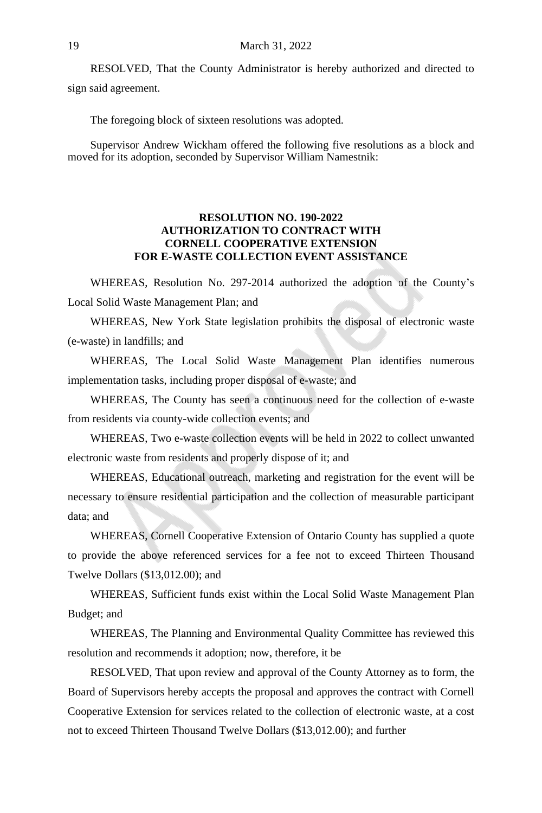RESOLVED, That the County Administrator is hereby authorized and directed to sign said agreement.

The foregoing block of sixteen resolutions was adopted.

Supervisor Andrew Wickham offered the following five resolutions as a block and moved for its adoption, seconded by Supervisor William Namestnik:

## **RESOLUTION NO. 190-2022 AUTHORIZATION TO CONTRACT WITH CORNELL COOPERATIVE EXTENSION FOR E-WASTE COLLECTION EVENT ASSISTANCE**

WHEREAS, Resolution No. 297-2014 authorized the adoption of the County's Local Solid Waste Management Plan; and

WHEREAS, New York State legislation prohibits the disposal of electronic waste (e-waste) in landfills; and

WHEREAS, The Local Solid Waste Management Plan identifies numerous implementation tasks, including proper disposal of e-waste; and

WHEREAS, The County has seen a continuous need for the collection of e-waste from residents via county-wide collection events; and

WHEREAS, Two e-waste collection events will be held in 2022 to collect unwanted electronic waste from residents and properly dispose of it; and

WHEREAS, Educational outreach, marketing and registration for the event will be necessary to ensure residential participation and the collection of measurable participant data; and

WHEREAS, Cornell Cooperative Extension of Ontario County has supplied a quote to provide the above referenced services for a fee not to exceed Thirteen Thousand Twelve Dollars (\$13,012.00); and

WHEREAS, Sufficient funds exist within the Local Solid Waste Management Plan Budget; and

WHEREAS, The Planning and Environmental Quality Committee has reviewed this resolution and recommends it adoption; now, therefore, it be

RESOLVED, That upon review and approval of the County Attorney as to form, the Board of Supervisors hereby accepts the proposal and approves the contract with Cornell Cooperative Extension for services related to the collection of electronic waste, at a cost not to exceed Thirteen Thousand Twelve Dollars (\$13,012.00); and further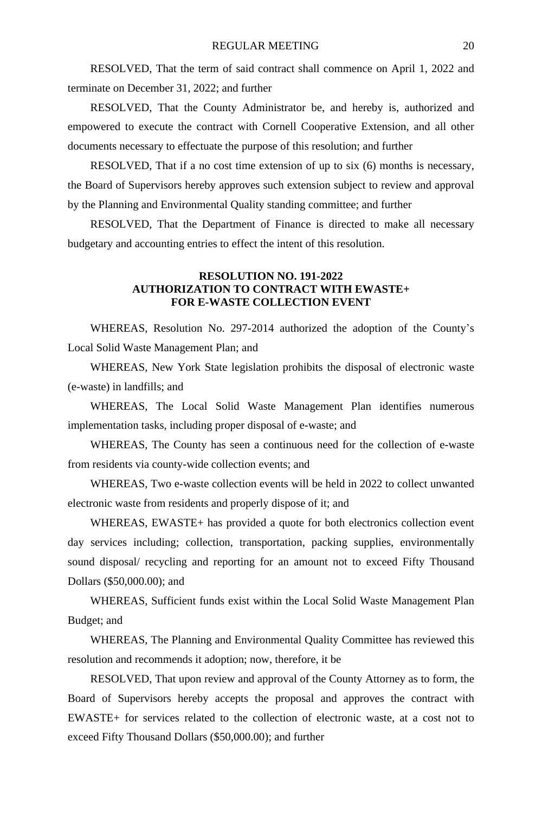RESOLVED, That the term of said contract shall commence on April 1, 2022 and terminate on December 31, 2022; and further

RESOLVED, That the County Administrator be, and hereby is, authorized and empowered to execute the contract with Cornell Cooperative Extension, and all other documents necessary to effectuate the purpose of this resolution; and further

RESOLVED, That if a no cost time extension of up to six (6) months is necessary, the Board of Supervisors hereby approves such extension subject to review and approval by the Planning and Environmental Quality standing committee; and further

RESOLVED, That the Department of Finance is directed to make all necessary budgetary and accounting entries to effect the intent of this resolution.

## **RESOLUTION NO. 191-2022 AUTHORIZATION TO CONTRACT WITH EWASTE+ FOR E-WASTE COLLECTION EVENT**

WHEREAS, Resolution No. 297-2014 authorized the adoption of the County's Local Solid Waste Management Plan; and

WHEREAS, New York State legislation prohibits the disposal of electronic waste (e-waste) in landfills; and

WHEREAS, The Local Solid Waste Management Plan identifies numerous implementation tasks, including proper disposal of e-waste; and

WHEREAS, The County has seen a continuous need for the collection of e-waste from residents via county-wide collection events; and

WHEREAS, Two e-waste collection events will be held in 2022 to collect unwanted electronic waste from residents and properly dispose of it; and

WHEREAS, EWASTE+ has provided a quote for both electronics collection event day services including; collection, transportation, packing supplies, environmentally sound disposal/ recycling and reporting for an amount not to exceed Fifty Thousand Dollars (\$50,000.00); and

WHEREAS, Sufficient funds exist within the Local Solid Waste Management Plan Budget; and

WHEREAS, The Planning and Environmental Quality Committee has reviewed this resolution and recommends it adoption; now, therefore, it be

RESOLVED, That upon review and approval of the County Attorney as to form, the Board of Supervisors hereby accepts the proposal and approves the contract with EWASTE+ for services related to the collection of electronic waste, at a cost not to exceed Fifty Thousand Dollars (\$50,000.00); and further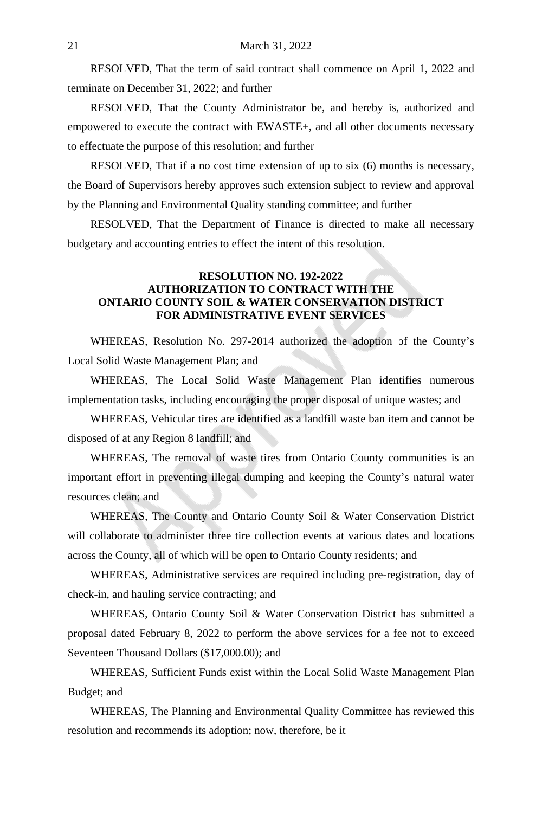RESOLVED, That the term of said contract shall commence on April 1, 2022 and terminate on December 31, 2022; and further

RESOLVED, That the County Administrator be, and hereby is, authorized and empowered to execute the contract with EWASTE+, and all other documents necessary to effectuate the purpose of this resolution; and further

RESOLVED, That if a no cost time extension of up to six (6) months is necessary, the Board of Supervisors hereby approves such extension subject to review and approval by the Planning and Environmental Quality standing committee; and further

RESOLVED, That the Department of Finance is directed to make all necessary budgetary and accounting entries to effect the intent of this resolution.

## **RESOLUTION NO. 192-2022 AUTHORIZATION TO CONTRACT WITH THE ONTARIO COUNTY SOIL & WATER CONSERVATION DISTRICT FOR ADMINISTRATIVE EVENT SERVICES**

WHEREAS, Resolution No. 297-2014 authorized the adoption of the County's Local Solid Waste Management Plan; and

WHEREAS, The Local Solid Waste Management Plan identifies numerous implementation tasks, including encouraging the proper disposal of unique wastes; and

WHEREAS, Vehicular tires are identified as a landfill waste ban item and cannot be disposed of at any Region 8 landfill; and

WHEREAS, The removal of waste tires from Ontario County communities is an important effort in preventing illegal dumping and keeping the County's natural water resources clean; and

WHEREAS, The County and Ontario County Soil & Water Conservation District will collaborate to administer three tire collection events at various dates and locations across the County, all of which will be open to Ontario County residents; and

WHEREAS, Administrative services are required including pre-registration, day of check-in, and hauling service contracting; and

WHEREAS, Ontario County Soil & Water Conservation District has submitted a proposal dated February 8, 2022 to perform the above services for a fee not to exceed Seventeen Thousand Dollars (\$17,000.00); and

WHEREAS, Sufficient Funds exist within the Local Solid Waste Management Plan Budget; and

WHEREAS, The Planning and Environmental Quality Committee has reviewed this resolution and recommends its adoption; now, therefore, be it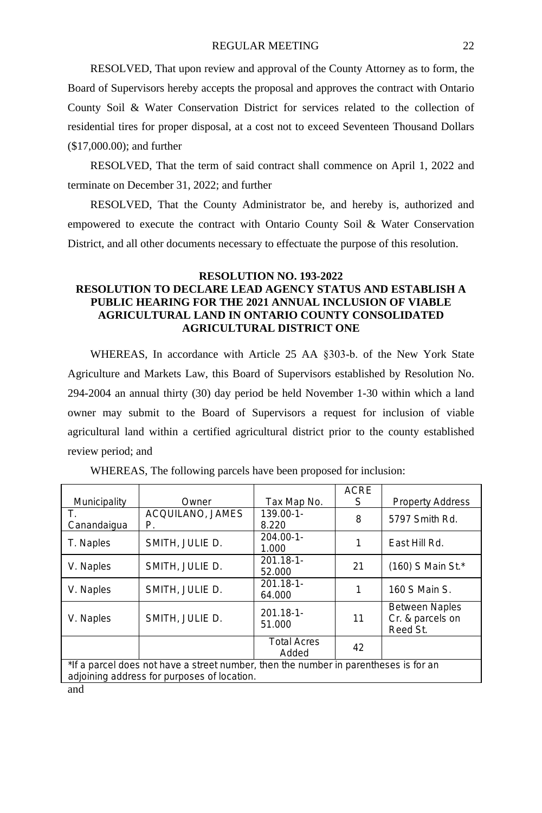RESOLVED, That upon review and approval of the County Attorney as to form, the Board of Supervisors hereby accepts the proposal and approves the contract with Ontario County Soil & Water Conservation District for services related to the collection of residential tires for proper disposal, at a cost not to exceed Seventeen Thousand Dollars (\$17,000.00); and further

RESOLVED, That the term of said contract shall commence on April 1, 2022 and terminate on December 31, 2022; and further

RESOLVED, That the County Administrator be, and hereby is, authorized and empowered to execute the contract with Ontario County Soil & Water Conservation District, and all other documents necessary to effectuate the purpose of this resolution.

# **RESOLUTION NO. 193-2022 RESOLUTION TO DECLARE LEAD AGENCY STATUS AND ESTABLISH A PUBLIC HEARING FOR THE 2021 ANNUAL INCLUSION OF VIABLE AGRICULTURAL LAND IN ONTARIO COUNTY CONSOLIDATED AGRICULTURAL DISTRICT ONE**

WHEREAS, In accordance with Article 25 AA §303-b. of the New York State Agriculture and Markets Law, this Board of Supervisors established by Resolution No. 294-2004 an annual thirty (30) day period be held November 1-30 within which a land owner may submit to the Board of Supervisors a request for inclusion of viable agricultural land within a certified agricultural district prior to the county established review period; and

|                                                                                                                                     |                        |                             | <b>ACRE</b> |                                                       |
|-------------------------------------------------------------------------------------------------------------------------------------|------------------------|-----------------------------|-------------|-------------------------------------------------------|
| Municipality                                                                                                                        | Owner                  | Tax Map No.                 | S           | <b>Property Address</b>                               |
| Canandaigua                                                                                                                         | ACQUILANO, JAMES<br>Р. | $139.00 - 1 -$<br>8.220     | 8           | 5797 Smith Rd.                                        |
| T. Naples                                                                                                                           | SMITH, JULIE D.        | $204.00 - 1 -$<br>1.000     |             | East Hill Rd.                                         |
| V. Naples                                                                                                                           | SMITH, JULIE D.        | $201.18 - 1$<br>52.000      | 21          | (160) S Main St.*                                     |
| V. Naples                                                                                                                           | SMITH, JULIE D.        | $201.18 - 1$<br>64.000      |             | 160 S Main S.                                         |
| V. Naples                                                                                                                           | SMITH, JULIE D.        | $201.18 - 1$<br>51.000      | 11          | <b>Between Naples</b><br>Cr. & parcels on<br>Reed St. |
|                                                                                                                                     |                        | <b>Total Acres</b><br>Added | 42          |                                                       |
| *If a parcel does not have a street number, then the number in parentheses is for an<br>adjoining address for purposes of location. |                        |                             |             |                                                       |
| and                                                                                                                                 |                        |                             |             |                                                       |

WHEREAS, The following parcels have been proposed for inclusion: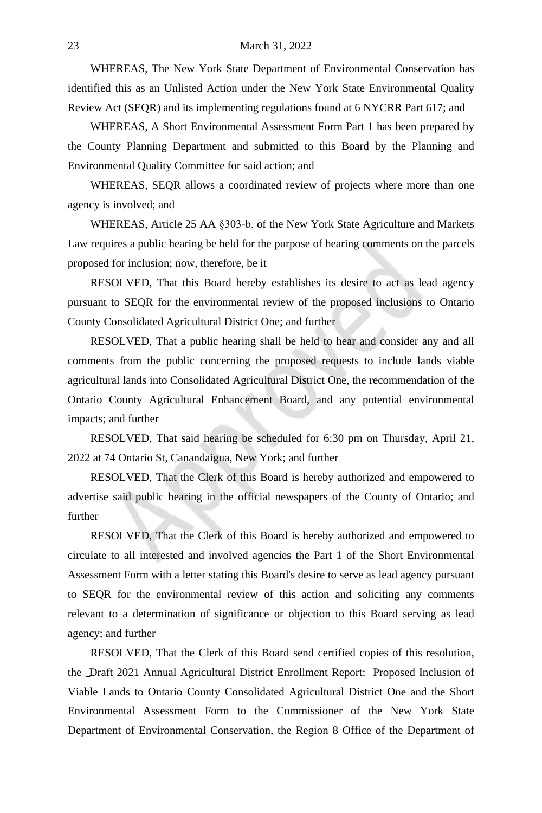#### 23 March 31, 2022

WHEREAS, The New York State Department of Environmental Conservation has identified this as an Unlisted Action under the New York State Environmental Quality Review Act (SEQR) and its implementing regulations found at 6 NYCRR Part 617; and

WHEREAS, A Short Environmental Assessment Form Part 1 has been prepared by the County Planning Department and submitted to this Board by the Planning and Environmental Quality Committee for said action; and

WHEREAS, SEQR allows a coordinated review of projects where more than one agency is involved; and

WHEREAS, Article 25 AA §303-b. of the New York State Agriculture and Markets Law requires a public hearing be held for the purpose of hearing comments on the parcels proposed for inclusion; now, therefore, be it

RESOLVED, That this Board hereby establishes its desire to act as lead agency pursuant to SEQR for the environmental review of the proposed inclusions to Ontario County Consolidated Agricultural District One; and further

RESOLVED, That a public hearing shall be held to hear and consider any and all comments from the public concerning the proposed requests to include lands viable agricultural lands into Consolidated Agricultural District One, the recommendation of the Ontario County Agricultural Enhancement Board, and any potential environmental impacts; and further

RESOLVED, That said hearing be scheduled for 6:30 pm on Thursday, April 21, 2022 at 74 Ontario St, Canandaigua, New York; and further

RESOLVED, That the Clerk of this Board is hereby authorized and empowered to advertise said public hearing in the official newspapers of the County of Ontario; and further

RESOLVED, That the Clerk of this Board is hereby authorized and empowered to circulate to all interested and involved agencies the Part 1 of the Short Environmental Assessment Form with a letter stating this Board's desire to serve as lead agency pursuant to SEQR for the environmental review of this action and soliciting any comments relevant to a determination of significance or objection to this Board serving as lead agency; and further

RESOLVED, That the Clerk of this Board send certified copies of this resolution, the Draft 2021 Annual Agricultural District Enrollment Report: Proposed Inclusion of Viable Lands to Ontario County Consolidated Agricultural District One and the Short Environmental Assessment Form to the Commissioner of the New York State Department of Environmental Conservation, the Region 8 Office of the Department of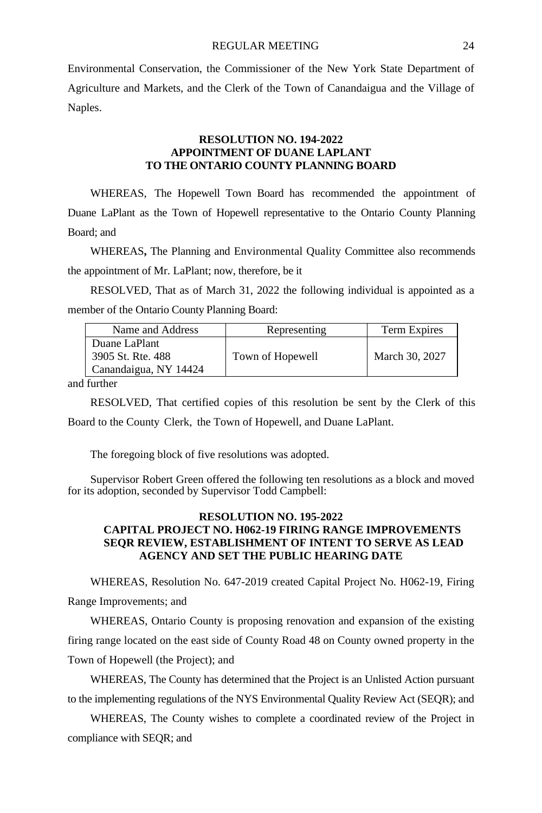Environmental Conservation, the Commissioner of the New York State Department of Agriculture and Markets, and the Clerk of the Town of Canandaigua and the Village of Naples.

#### **RESOLUTION NO. 194-2022 APPOINTMENT OF DUANE LAPLANT TO THE ONTARIO COUNTY PLANNING BOARD**

WHEREAS, The Hopewell Town Board has recommended the appointment of Duane LaPlant as the Town of Hopewell representative to the Ontario County Planning Board; and

WHEREAS**,** The Planning and Environmental Quality Committee also recommends the appointment of Mr. LaPlant; now, therefore, be it

RESOLVED, That as of March 31, 2022 the following individual is appointed as a member of the Ontario County Planning Board:

| Name and Address      | Representing     | Term Expires   |
|-----------------------|------------------|----------------|
| Duane LaPlant         |                  |                |
| 3905 St. Rte. 488     | Town of Hopewell | March 30, 2027 |
| Canandaigua, NY 14424 |                  |                |
| $\cdots$              |                  |                |

and further

RESOLVED, That certified copies of this resolution be sent by the Clerk of this Board to the County Clerk, the Town of Hopewell, and Duane LaPlant.

The foregoing block of five resolutions was adopted.

Supervisor Robert Green offered the following ten resolutions as a block and moved for its adoption, seconded by Supervisor Todd Campbell:

# **RESOLUTION NO. 195-2022 CAPITAL PROJECT NO. H062-19 FIRING RANGE IMPROVEMENTS SEQR REVIEW, ESTABLISHMENT OF INTENT TO SERVE AS LEAD AGENCY AND SET THE PUBLIC HEARING DATE**

WHEREAS, Resolution No. 647-2019 created Capital Project No. H062-19, Firing Range Improvements; and

WHEREAS, Ontario County is proposing renovation and expansion of the existing firing range located on the east side of County Road 48 on County owned property in the Town of Hopewell (the Project); and

WHEREAS, The County has determined that the Project is an Unlisted Action pursuant to the implementing regulations of the NYS Environmental Quality Review Act (SEQR); and

WHEREAS, The County wishes to complete a coordinated review of the Project in compliance with SEQR; and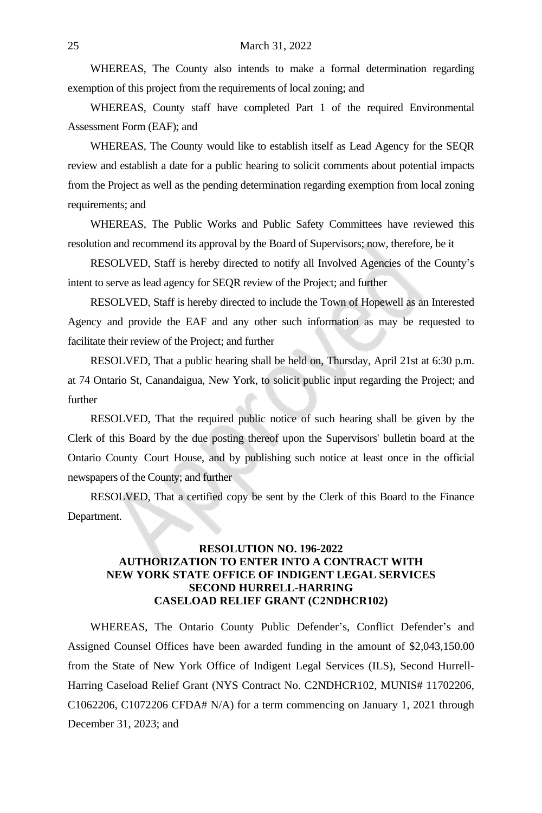WHEREAS, The County also intends to make a formal determination regarding exemption of this project from the requirements of local zoning; and

WHEREAS, County staff have completed Part 1 of the required Environmental Assessment Form (EAF); and

WHEREAS, The County would like to establish itself as Lead Agency for the SEQR review and establish a date for a public hearing to solicit comments about potential impacts from the Project as well as the pending determination regarding exemption from local zoning requirements; and

WHEREAS, The Public Works and Public Safety Committees have reviewed this resolution and recommend its approval by the Board of Supervisors; now, therefore, be it

RESOLVED, Staff is hereby directed to notify all Involved Agencies of the County's intent to serve as lead agency for SEQR review of the Project; and further

RESOLVED, Staff is hereby directed to include the Town of Hopewell as an Interested Agency and provide the EAF and any other such information as may be requested to facilitate their review of the Project; and further

RESOLVED, That a public hearing shall be held on, Thursday, April 21st at 6:30 p.m. at 74 Ontario St, Canandaigua, New York, to solicit public input regarding the Project; and further

RESOLVED, That the required public notice of such hearing shall be given by the Clerk of this Board by the due posting thereof upon the Supervisors' bulletin board at the Ontario County Court House, and by publishing such notice at least once in the official newspapers of the County; and further

RESOLVED, That a certified copy be sent by the Clerk of this Board to the Finance Department.

## **RESOLUTION NO. 196-2022 AUTHORIZATION TO ENTER INTO A CONTRACT WITH NEW YORK STATE OFFICE OF INDIGENT LEGAL SERVICES SECOND HURRELL-HARRING CASELOAD RELIEF GRANT (C2NDHCR102)**

WHEREAS, The Ontario County Public Defender's, Conflict Defender's and Assigned Counsel Offices have been awarded funding in the amount of \$2,043,150.00 from the State of New York Office of Indigent Legal Services (ILS), Second Hurrell-Harring Caseload Relief Grant (NYS Contract No. C2NDHCR102, MUNIS# 11702206, C1062206, C1072206 CFDA# N/A) for a term commencing on January 1, 2021 through December 31, 2023; and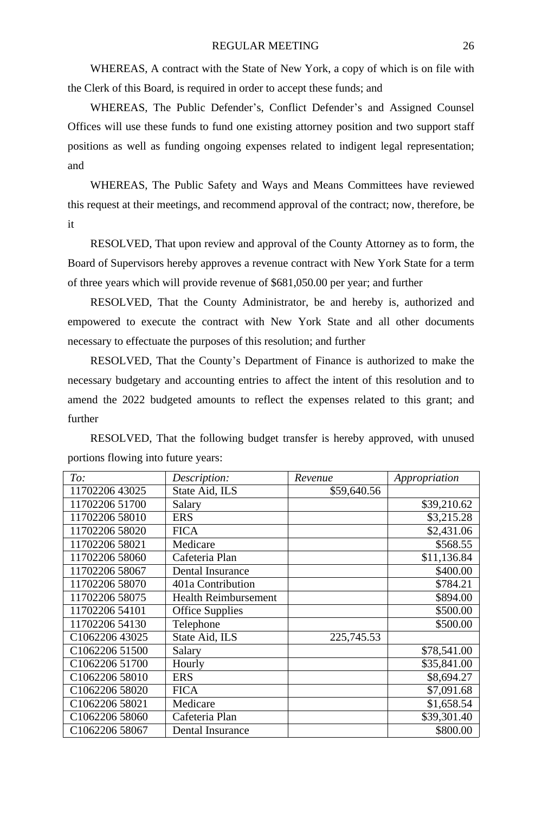WHEREAS, A contract with the State of New York, a copy of which is on file with the Clerk of this Board, is required in order to accept these funds; and

WHEREAS, The Public Defender's, Conflict Defender's and Assigned Counsel Offices will use these funds to fund one existing attorney position and two support staff positions as well as funding ongoing expenses related to indigent legal representation; and

WHEREAS, The Public Safety and Ways and Means Committees have reviewed this request at their meetings, and recommend approval of the contract; now, therefore, be it

RESOLVED, That upon review and approval of the County Attorney as to form, the Board of Supervisors hereby approves a revenue contract with New York State for a term of three years which will provide revenue of \$681,050.00 per year; and further

RESOLVED, That the County Administrator, be and hereby is, authorized and empowered to execute the contract with New York State and all other documents necessary to effectuate the purposes of this resolution; and further

RESOLVED, That the County's Department of Finance is authorized to make the necessary budgetary and accounting entries to affect the intent of this resolution and to amend the 2022 budgeted amounts to reflect the expenses related to this grant; and further

RESOLVED, That the following budget transfer is hereby approved, with unused portions flowing into future years:

| To:            | Description:                | Revenue     | Appropriation |
|----------------|-----------------------------|-------------|---------------|
| 1170220643025  | State Aid, ILS              | \$59,640.56 |               |
| 11702206 51700 | Salary                      |             | \$39,210.62   |
| 11702206 58010 | <b>ERS</b>                  |             | \$3,215.28    |
| 11702206 58020 | <b>FICA</b>                 |             | \$2,431.06    |
| 11702206 58021 | Medicare                    |             | \$568.55      |
| 11702206 58060 | Cafeteria Plan              |             | \$11,136.84   |
| 11702206 58067 | Dental Insurance            |             | \$400.00      |
| 11702206 58070 | 401a Contribution           |             | \$784.21      |
| 11702206 58075 | <b>Health Reimbursement</b> |             | \$894.00      |
| 11702206 54101 | <b>Office Supplies</b>      |             | \$500.00      |
| 11702206 54130 | Telephone                   |             | \$500.00      |
| C106220643025  | State Aid, ILS              | 225,745.53  |               |
| C1062206 51500 | Salary                      |             | \$78,541.00   |
| C1062206 51700 | Hourly                      |             | \$35,841.00   |
| C1062206 58010 | <b>ERS</b>                  |             | \$8,694.27    |
| C1062206 58020 | <b>FICA</b>                 |             | \$7,091.68    |
| C1062206 58021 | Medicare                    |             | \$1,658.54    |
| C1062206 58060 | Cafeteria Plan              |             | \$39,301.40   |
| C1062206 58067 | Dental Insurance            |             | \$800.00      |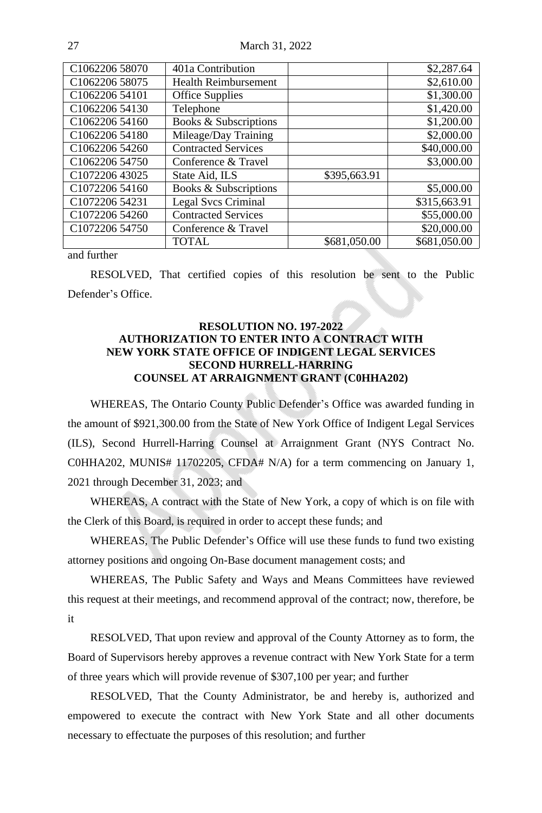27 March 31, 2022

| C <sub>1062206</sub> 58070 | 401a Contribution                |              | \$2,287.64   |
|----------------------------|----------------------------------|--------------|--------------|
| C1062206 58075             | <b>Health Reimbursement</b>      |              | \$2,610.00   |
| C1062206 54101             | <b>Office Supplies</b>           |              | \$1,300.00   |
| C1062206 54130             | Telephone                        |              | \$1,420.00   |
| C1062206 54160             | Books & Subscriptions            |              | \$1,200.00   |
| C1062206 54180             | Mileage/Day Training             |              | \$2,000.00   |
| C1062206 54260             | <b>Contracted Services</b>       |              | \$40,000.00  |
| C1062206 54750             | Conference & Travel              |              | \$3,000.00   |
| C1072206 43025             | State Aid, ILS                   | \$395,663.91 |              |
| C1072206 54160             | <b>Books &amp; Subscriptions</b> |              | \$5,000.00   |
| C1072206 54231             | Legal Svcs Criminal              |              | \$315,663.91 |
| C1072206 54260             | <b>Contracted Services</b>       |              | \$55,000.00  |
| C <sub>1072206</sub> 54750 | Conference & Travel              |              | \$20,000.00  |
|                            | TOTAL                            | \$681,050.00 | \$681,050.00 |

and further

RESOLVED, That certified copies of this resolution be sent to the Public Defender's Office.

# **RESOLUTION NO. 197-2022 AUTHORIZATION TO ENTER INTO A CONTRACT WITH NEW YORK STATE OFFICE OF INDIGENT LEGAL SERVICES SECOND HURRELL-HARRING COUNSEL AT ARRAIGNMENT GRANT (C0HHA202)**

WHEREAS, The Ontario County Public Defender's Office was awarded funding in the amount of \$921,300.00 from the State of New York Office of Indigent Legal Services (ILS), Second Hurrell-Harring Counsel at Arraignment Grant (NYS Contract No. C0HHA202, MUNIS# 11702205, CFDA# N/A) for a term commencing on January 1, 2021 through December 31, 2023; and

WHEREAS, A contract with the State of New York, a copy of which is on file with the Clerk of this Board, is required in order to accept these funds; and

WHEREAS, The Public Defender's Office will use these funds to fund two existing attorney positions and ongoing On-Base document management costs; and

WHEREAS, The Public Safety and Ways and Means Committees have reviewed this request at their meetings, and recommend approval of the contract; now, therefore, be it

RESOLVED, That upon review and approval of the County Attorney as to form, the Board of Supervisors hereby approves a revenue contract with New York State for a term of three years which will provide revenue of \$307,100 per year; and further

RESOLVED, That the County Administrator, be and hereby is, authorized and empowered to execute the contract with New York State and all other documents necessary to effectuate the purposes of this resolution; and further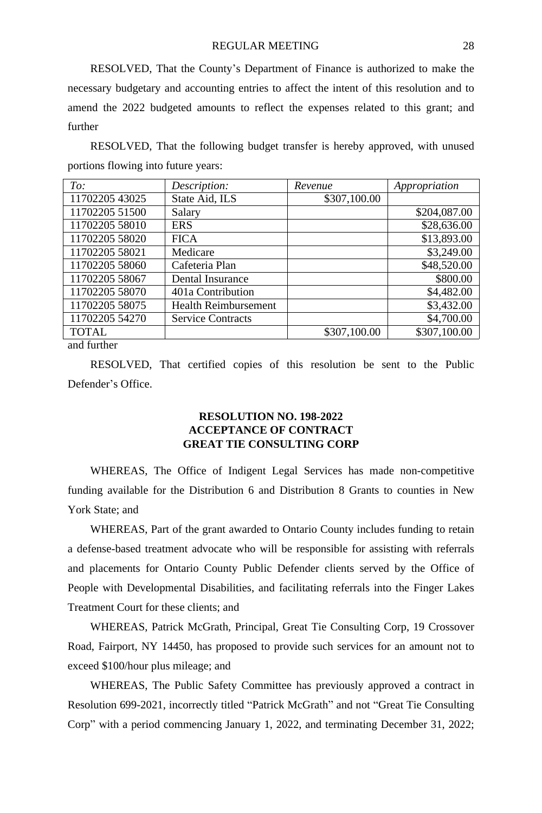RESOLVED, That the County's Department of Finance is authorized to make the necessary budgetary and accounting entries to affect the intent of this resolution and to amend the 2022 budgeted amounts to reflect the expenses related to this grant; and further

RESOLVED, That the following budget transfer is hereby approved, with unused portions flowing into future years:

| To:            | Description:                | Revenue      | Appropriation |
|----------------|-----------------------------|--------------|---------------|
| 11702205 43025 | State Aid, ILS              | \$307,100.00 |               |
| 11702205 51500 | Salary                      |              | \$204,087.00  |
| 11702205 58010 | <b>ERS</b>                  |              | \$28,636.00   |
| 11702205 58020 | <b>FICA</b>                 |              | \$13,893.00   |
| 11702205 58021 | Medicare                    |              | \$3,249.00    |
| 11702205 58060 | Cafeteria Plan              |              | \$48,520.00   |
| 11702205 58067 | Dental Insurance            |              | \$800.00      |
| 11702205 58070 | 401a Contribution           |              | \$4,482.00    |
| 11702205 58075 | <b>Health Reimbursement</b> |              | \$3,432.00    |
| 11702205 54270 | <b>Service Contracts</b>    |              | \$4,700.00    |
| <b>TOTAL</b>   |                             | \$307,100.00 | \$307,100.00  |

and further

RESOLVED, That certified copies of this resolution be sent to the Public Defender's Office.

# **RESOLUTION NO. 198-2022 ACCEPTANCE OF CONTRACT GREAT TIE CONSULTING CORP**

WHEREAS, The Office of Indigent Legal Services has made non-competitive funding available for the Distribution 6 and Distribution 8 Grants to counties in New York State; and

WHEREAS, Part of the grant awarded to Ontario County includes funding to retain a defense-based treatment advocate who will be responsible for assisting with referrals and placements for Ontario County Public Defender clients served by the Office of People with Developmental Disabilities, and facilitating referrals into the Finger Lakes Treatment Court for these clients; and

WHEREAS, Patrick McGrath, Principal, Great Tie Consulting Corp, 19 Crossover Road, Fairport, NY 14450, has proposed to provide such services for an amount not to exceed \$100/hour plus mileage; and

WHEREAS, The Public Safety Committee has previously approved a contract in Resolution 699-2021, incorrectly titled "Patrick McGrath" and not "Great Tie Consulting Corp" with a period commencing January 1, 2022, and terminating December 31, 2022;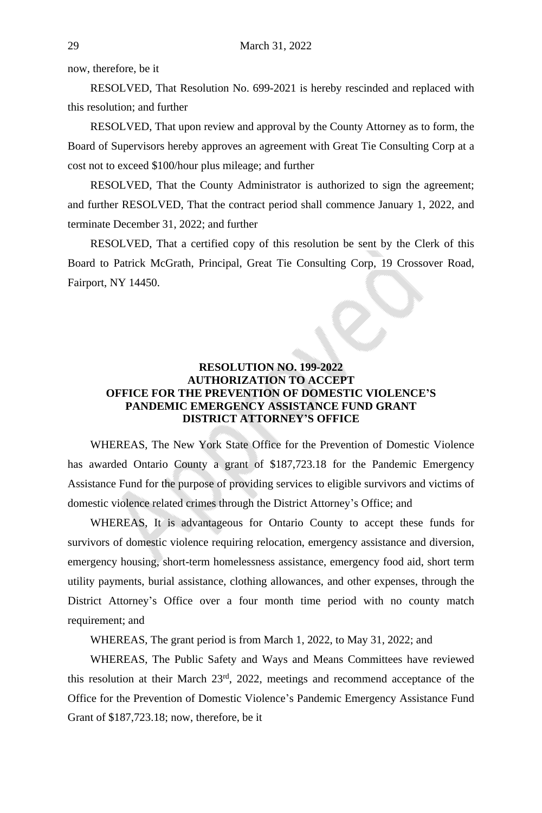now, therefore, be it

RESOLVED, That Resolution No. 699-2021 is hereby rescinded and replaced with this resolution; and further

RESOLVED, That upon review and approval by the County Attorney as to form, the Board of Supervisors hereby approves an agreement with Great Tie Consulting Corp at a cost not to exceed \$100/hour plus mileage; and further

RESOLVED, That the County Administrator is authorized to sign the agreement; and further RESOLVED, That the contract period shall commence January 1, 2022, and terminate December 31, 2022; and further

RESOLVED, That a certified copy of this resolution be sent by the Clerk of this Board to Patrick McGrath, Principal, Great Tie Consulting Corp, 19 Crossover Road, Fairport, NY 14450.

# **RESOLUTION NO. 199-2022 AUTHORIZATION TO ACCEPT OFFICE FOR THE PREVENTION OF DOMESTIC VIOLENCE'S PANDEMIC EMERGENCY ASSISTANCE FUND GRANT DISTRICT ATTORNEY'S OFFICE**

WHEREAS, The New York State Office for the Prevention of Domestic Violence has awarded Ontario County a grant of \$187,723.18 for the Pandemic Emergency Assistance Fund for the purpose of providing services to eligible survivors and victims of domestic violence related crimes through the District Attorney's Office; and

WHEREAS, It is advantageous for Ontario County to accept these funds for survivors of domestic violence requiring relocation, emergency assistance and diversion, emergency housing, short-term homelessness assistance, emergency food aid, short term utility payments, burial assistance, clothing allowances, and other expenses, through the District Attorney's Office over a four month time period with no county match requirement; and

WHEREAS, The grant period is from March 1, 2022, to May 31, 2022; and

WHEREAS, The Public Safety and Ways and Means Committees have reviewed this resolution at their March 23rd , 2022, meetings and recommend acceptance of the Office for the Prevention of Domestic Violence's Pandemic Emergency Assistance Fund Grant of \$187,723.18; now, therefore, be it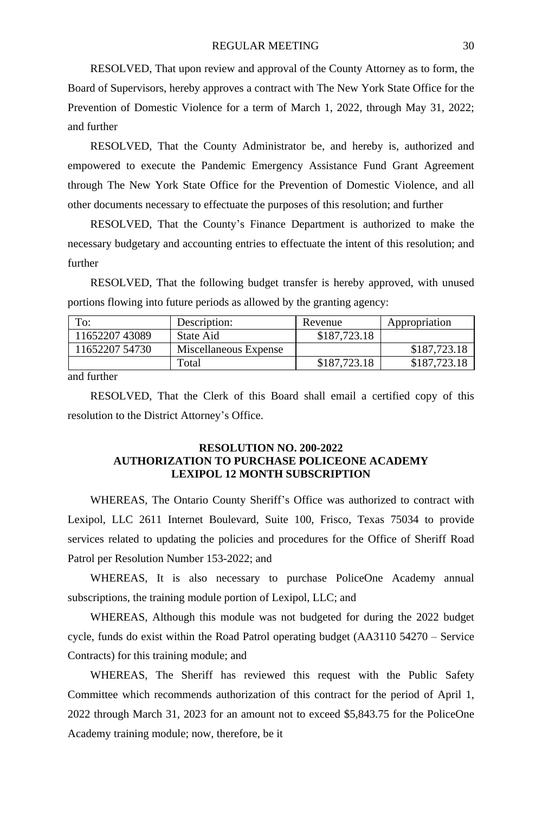RESOLVED, That upon review and approval of the County Attorney as to form, the Board of Supervisors, hereby approves a contract with The New York State Office for the Prevention of Domestic Violence for a term of March 1, 2022, through May 31, 2022; and further

RESOLVED, That the County Administrator be, and hereby is, authorized and empowered to execute the Pandemic Emergency Assistance Fund Grant Agreement through The New York State Office for the Prevention of Domestic Violence, and all other documents necessary to effectuate the purposes of this resolution; and further

RESOLVED, That the County's Finance Department is authorized to make the necessary budgetary and accounting entries to effectuate the intent of this resolution; and further

RESOLVED, That the following budget transfer is hereby approved, with unused portions flowing into future periods as allowed by the granting agency:

| To:            | Description:          | Revenue      | Appropriation |
|----------------|-----------------------|--------------|---------------|
| 1165220743089  | State Aid             | \$187,723.18 |               |
| 11652207 54730 | Miscellaneous Expense |              | \$187,723.18  |
|                | Total                 | \$187,723.18 | \$187,723.18  |

and further

RESOLVED, That the Clerk of this Board shall email a certified copy of this resolution to the District Attorney's Office.

# **RESOLUTION NO. 200-2022 AUTHORIZATION TO PURCHASE POLICEONE ACADEMY LEXIPOL 12 MONTH SUBSCRIPTION**

WHEREAS, The Ontario County Sheriff's Office was authorized to contract with Lexipol, LLC 2611 Internet Boulevard, Suite 100, Frisco, Texas 75034 to provide services related to updating the policies and procedures for the Office of Sheriff Road Patrol per Resolution Number 153-2022; and

WHEREAS, It is also necessary to purchase PoliceOne Academy annual subscriptions, the training module portion of Lexipol, LLC; and

WHEREAS, Although this module was not budgeted for during the 2022 budget cycle, funds do exist within the Road Patrol operating budget (AA3110 54270 – Service Contracts) for this training module; and

WHEREAS, The Sheriff has reviewed this request with the Public Safety Committee which recommends authorization of this contract for the period of April 1, 2022 through March 31, 2023 for an amount not to exceed \$5,843.75 for the PoliceOne Academy training module; now, therefore, be it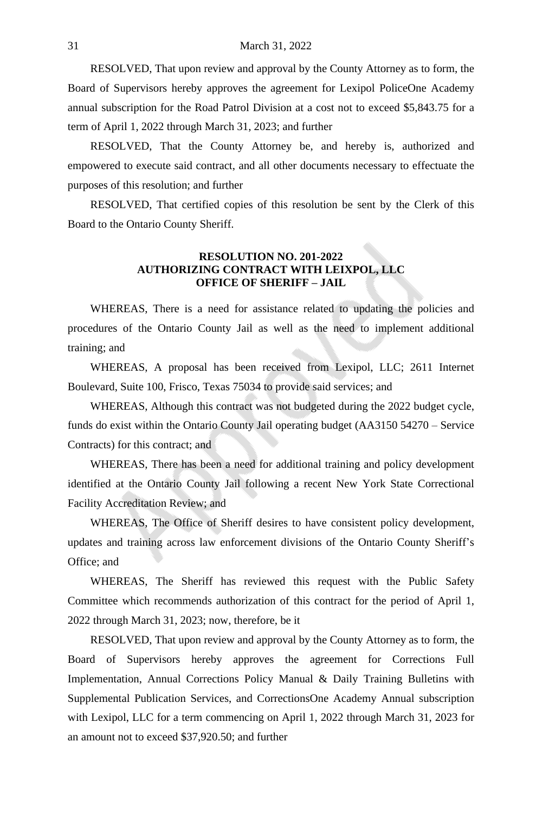RESOLVED, That upon review and approval by the County Attorney as to form, the Board of Supervisors hereby approves the agreement for Lexipol PoliceOne Academy annual subscription for the Road Patrol Division at a cost not to exceed \$5,843.75 for a term of April 1, 2022 through March 31, 2023; and further

RESOLVED, That the County Attorney be, and hereby is, authorized and empowered to execute said contract, and all other documents necessary to effectuate the purposes of this resolution; and further

RESOLVED, That certified copies of this resolution be sent by the Clerk of this Board to the Ontario County Sheriff.

#### **RESOLUTION NO. 201-2022 AUTHORIZING CONTRACT WITH LEIXPOL, LLC OFFICE OF SHERIFF – JAIL**

WHEREAS, There is a need for assistance related to updating the policies and procedures of the Ontario County Jail as well as the need to implement additional training; and

WHEREAS, A proposal has been received from Lexipol, LLC; 2611 Internet Boulevard, Suite 100, Frisco, Texas 75034 to provide said services; and

WHEREAS, Although this contract was not budgeted during the 2022 budget cycle, funds do exist within the Ontario County Jail operating budget (AA3150 54270 – Service Contracts) for this contract; and

WHEREAS, There has been a need for additional training and policy development identified at the Ontario County Jail following a recent New York State Correctional Facility Accreditation Review; and

WHEREAS, The Office of Sheriff desires to have consistent policy development, updates and training across law enforcement divisions of the Ontario County Sheriff's Office; and

WHEREAS, The Sheriff has reviewed this request with the Public Safety Committee which recommends authorization of this contract for the period of April 1, 2022 through March 31, 2023; now, therefore, be it

RESOLVED, That upon review and approval by the County Attorney as to form, the Board of Supervisors hereby approves the agreement for Corrections Full Implementation, Annual Corrections Policy Manual & Daily Training Bulletins with Supplemental Publication Services, and CorrectionsOne Academy Annual subscription with Lexipol, LLC for a term commencing on April 1, 2022 through March 31, 2023 for an amount not to exceed \$37,920.50; and further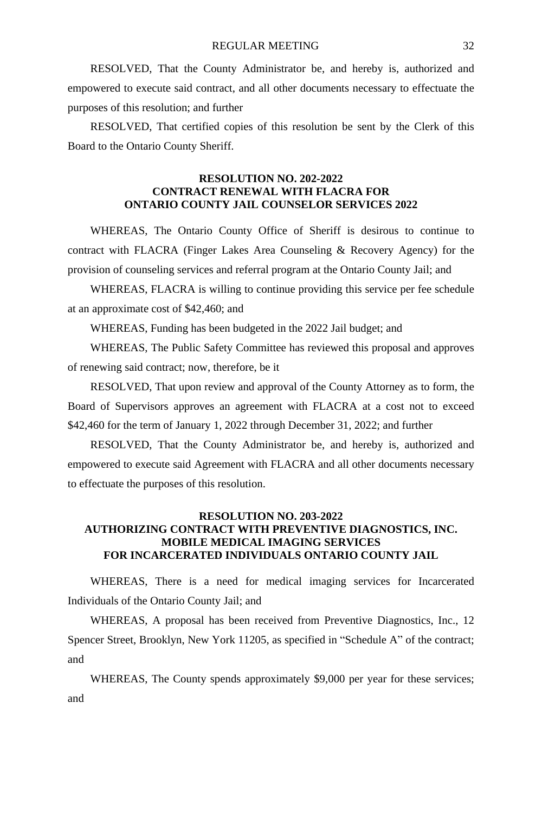RESOLVED, That the County Administrator be, and hereby is, authorized and empowered to execute said contract, and all other documents necessary to effectuate the purposes of this resolution; and further

RESOLVED, That certified copies of this resolution be sent by the Clerk of this Board to the Ontario County Sheriff.

#### **RESOLUTION NO. 202-2022 CONTRACT RENEWAL WITH FLACRA FOR ONTARIO COUNTY JAIL COUNSELOR SERVICES 2022**

WHEREAS, The Ontario County Office of Sheriff is desirous to continue to contract with FLACRA (Finger Lakes Area Counseling & Recovery Agency) for the provision of counseling services and referral program at the Ontario County Jail; and

WHEREAS, FLACRA is willing to continue providing this service per fee schedule at an approximate cost of \$42,460; and

WHEREAS, Funding has been budgeted in the 2022 Jail budget; and

WHEREAS, The Public Safety Committee has reviewed this proposal and approves of renewing said contract; now, therefore, be it

RESOLVED, That upon review and approval of the County Attorney as to form, the Board of Supervisors approves an agreement with FLACRA at a cost not to exceed \$42,460 for the term of January 1, 2022 through December 31, 2022; and further

RESOLVED, That the County Administrator be, and hereby is, authorized and empowered to execute said Agreement with FLACRA and all other documents necessary to effectuate the purposes of this resolution.

## **RESOLUTION NO. 203-2022 AUTHORIZING CONTRACT WITH PREVENTIVE DIAGNOSTICS, INC. MOBILE MEDICAL IMAGING SERVICES FOR INCARCERATED INDIVIDUALS ONTARIO COUNTY JAIL**

WHEREAS, There is a need for medical imaging services for Incarcerated Individuals of the Ontario County Jail; and

WHEREAS, A proposal has been received from Preventive Diagnostics, Inc., 12 Spencer Street, Brooklyn, New York 11205, as specified in "Schedule A" of the contract; and

WHEREAS, The County spends approximately \$9,000 per year for these services; and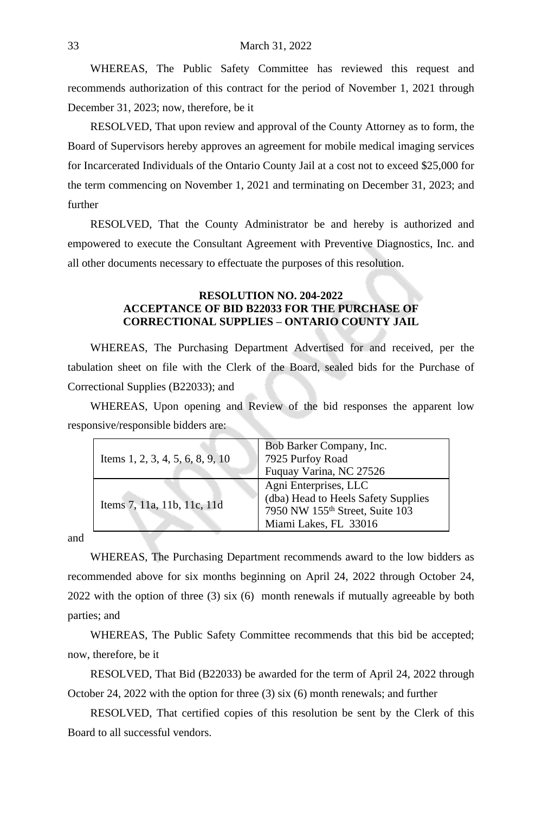WHEREAS, The Public Safety Committee has reviewed this request and recommends authorization of this contract for the period of November 1, 2021 through December 31, 2023; now, therefore, be it

RESOLVED, That upon review and approval of the County Attorney as to form, the Board of Supervisors hereby approves an agreement for mobile medical imaging services for Incarcerated Individuals of the Ontario County Jail at a cost not to exceed \$25,000 for the term commencing on November 1, 2021 and terminating on December 31, 2023; and further

RESOLVED, That the County Administrator be and hereby is authorized and empowered to execute the Consultant Agreement with Preventive Diagnostics, Inc. and all other documents necessary to effectuate the purposes of this resolution.

# **RESOLUTION NO. 204-2022 ACCEPTANCE OF BID B22033 FOR THE PURCHASE OF CORRECTIONAL SUPPLIES – ONTARIO COUNTY JAIL**

WHEREAS, The Purchasing Department Advertised for and received, per the tabulation sheet on file with the Clerk of the Board, sealed bids for the Purchase of Correctional Supplies (B22033); and

WHEREAS, Upon opening and Review of the bid responses the apparent low responsive/responsible bidders are:

|                                  | Bob Barker Company, Inc.            |  |
|----------------------------------|-------------------------------------|--|
| Items 1, 2, 3, 4, 5, 6, 8, 9, 10 | 7925 Purfoy Road                    |  |
|                                  | Fuquay Varina, NC 27526             |  |
| Items 7, 11a, 11b, 11c, 11d      | Agni Enterprises, LLC               |  |
|                                  | (dba) Head to Heels Safety Supplies |  |
|                                  | 7950 NW 155th Street, Suite 103     |  |
|                                  | Miami Lakes, FL 33016               |  |

and

WHEREAS, The Purchasing Department recommends award to the low bidders as recommended above for six months beginning on April 24, 2022 through October 24, 2022 with the option of three (3) six (6) month renewals if mutually agreeable by both parties; and

WHEREAS, The Public Safety Committee recommends that this bid be accepted; now, therefore, be it

RESOLVED, That Bid (B22033) be awarded for the term of April 24, 2022 through October 24, 2022 with the option for three (3) six (6) month renewals; and further

RESOLVED, That certified copies of this resolution be sent by the Clerk of this Board to all successful vendors.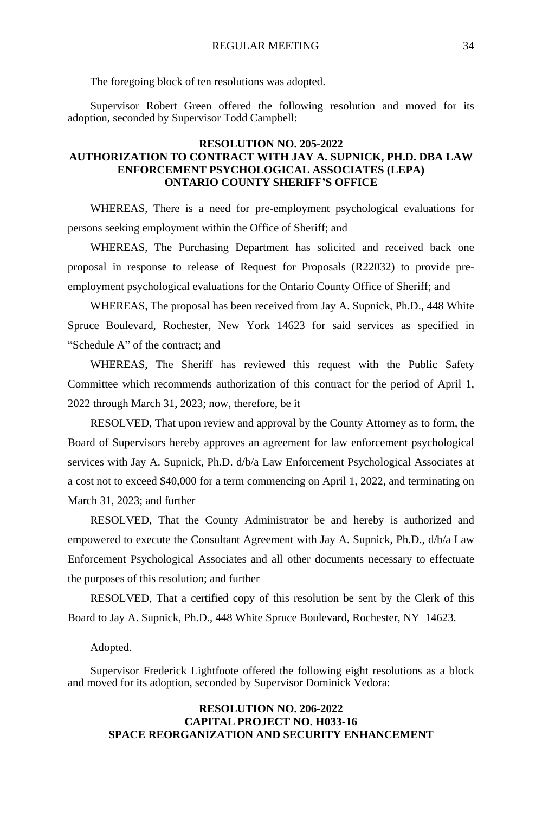The foregoing block of ten resolutions was adopted.

Supervisor Robert Green offered the following resolution and moved for its adoption, seconded by Supervisor Todd Campbell:

#### **RESOLUTION NO. 205-2022 AUTHORIZATION TO CONTRACT WITH JAY A. SUPNICK, PH.D. DBA LAW ENFORCEMENT PSYCHOLOGICAL ASSOCIATES (LEPA) ONTARIO COUNTY SHERIFF'S OFFICE**

WHEREAS, There is a need for pre-employment psychological evaluations for persons seeking employment within the Office of Sheriff; and

WHEREAS, The Purchasing Department has solicited and received back one proposal in response to release of Request for Proposals (R22032) to provide preemployment psychological evaluations for the Ontario County Office of Sheriff; and

WHEREAS, The proposal has been received from Jay A. Supnick, Ph.D., 448 White Spruce Boulevard, Rochester, New York 14623 for said services as specified in "Schedule A" of the contract; and

WHEREAS, The Sheriff has reviewed this request with the Public Safety Committee which recommends authorization of this contract for the period of April 1, 2022 through March 31, 2023; now, therefore, be it

RESOLVED, That upon review and approval by the County Attorney as to form, the Board of Supervisors hereby approves an agreement for law enforcement psychological services with Jay A. Supnick, Ph.D. d/b/a Law Enforcement Psychological Associates at a cost not to exceed \$40,000 for a term commencing on April 1, 2022, and terminating on March 31, 2023; and further

RESOLVED, That the County Administrator be and hereby is authorized and empowered to execute the Consultant Agreement with Jay A. Supnick, Ph.D., d/b/a Law Enforcement Psychological Associates and all other documents necessary to effectuate the purposes of this resolution; and further

RESOLVED, That a certified copy of this resolution be sent by the Clerk of this Board to Jay A. Supnick, Ph.D., 448 White Spruce Boulevard, Rochester, NY 14623.

#### Adopted.

Supervisor Frederick Lightfoote offered the following eight resolutions as a block and moved for its adoption, seconded by Supervisor Dominick Vedora:

#### **RESOLUTION NO. 206-2022 CAPITAL PROJECT NO. H033-16 SPACE REORGANIZATION AND SECURITY ENHANCEMENT**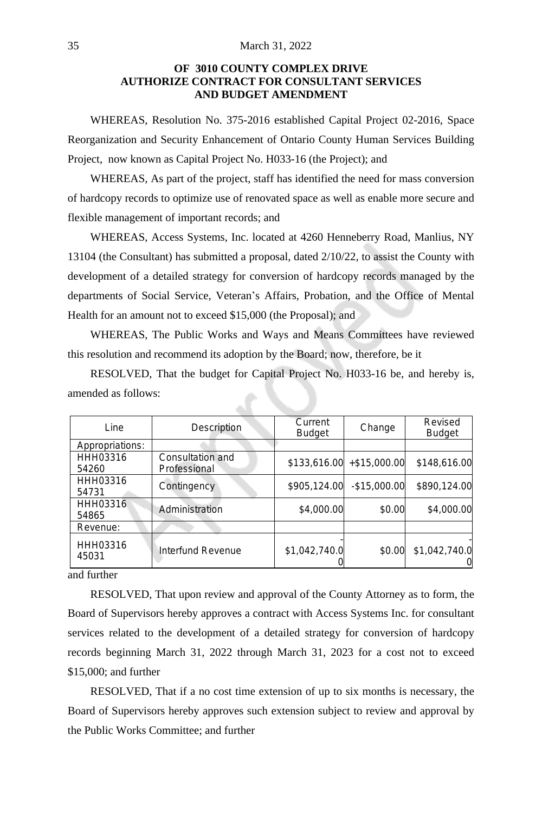## **OF 3010 COUNTY COMPLEX DRIVE AUTHORIZE CONTRACT FOR CONSULTANT SERVICES AND BUDGET AMENDMENT**

WHEREAS, Resolution No. 375-2016 established Capital Project 02-2016, Space Reorganization and Security Enhancement of Ontario County Human Services Building Project, now known as Capital Project No. H033-16 (the Project); and

WHEREAS, As part of the project, staff has identified the need for mass conversion of hardcopy records to optimize use of renovated space as well as enable more secure and flexible management of important records; and

WHEREAS, Access Systems, Inc. located at 4260 Henneberry Road, Manlius, NY 13104 (the Consultant) has submitted a proposal, dated 2/10/22, to assist the County with development of a detailed strategy for conversion of hardcopy records managed by the departments of Social Service, Veteran's Affairs, Probation, and the Office of Mental Health for an amount not to exceed \$15,000 (the Proposal); and

WHEREAS, The Public Works and Ways and Means Committees have reviewed this resolution and recommend its adoption by the Board; now, therefore, be it

RESOLVED, That the budget for Capital Project No. H033-16 be, and hereby is, amended as follows:

| Line                     | Description                      | Current<br><b>Budget</b> | Change                     | Revised<br><b>Budget</b>  |
|--------------------------|----------------------------------|--------------------------|----------------------------|---------------------------|
| Appropriations:          |                                  |                          |                            |                           |
| HHH03316<br>54260        | Consultation and<br>Professional |                          | $$133,616.00$ +\$15,000.00 | \$148,616.00              |
| HHH03316<br>54731        | Contingency                      | \$905,124.00             | $-$15.000.00$              | \$890,124.00              |
| <b>HHH03316</b><br>54865 | Administration                   | \$4,000.00               | \$0.00                     | \$4,000.00                |
| Revenue:                 |                                  |                          |                            |                           |
| HHH03316<br>45031        | Interfund Revenue                | \$1,042,740.0            | \$0.00                     | \$1,042,740.0<br>$\Omega$ |

and further

RESOLVED, That upon review and approval of the County Attorney as to form, the Board of Supervisors hereby approves a contract with Access Systems Inc. for consultant services related to the development of a detailed strategy for conversion of hardcopy records beginning March 31, 2022 through March 31, 2023 for a cost not to exceed \$15,000; and further

RESOLVED, That if a no cost time extension of up to six months is necessary, the Board of Supervisors hereby approves such extension subject to review and approval by the Public Works Committee; and further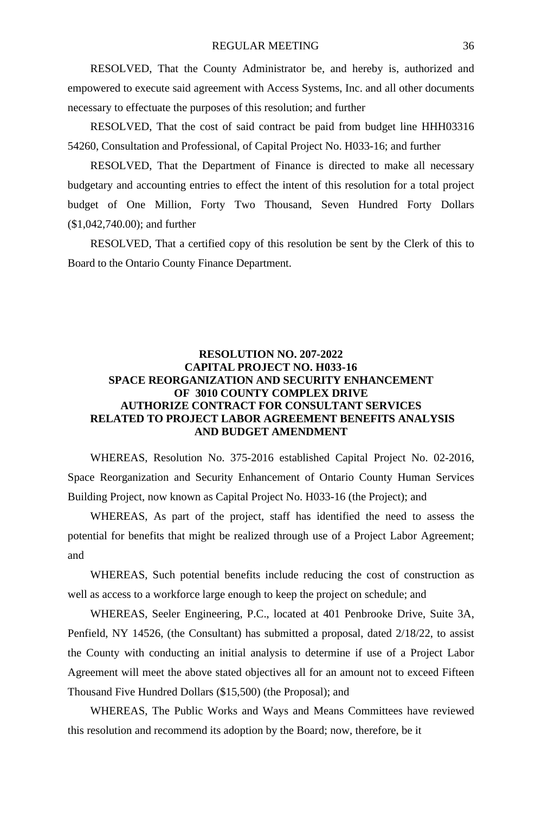RESOLVED, That the County Administrator be, and hereby is, authorized and empowered to execute said agreement with Access Systems, Inc. and all other documents necessary to effectuate the purposes of this resolution; and further

RESOLVED, That the cost of said contract be paid from budget line HHH03316 54260, Consultation and Professional, of Capital Project No. H033-16; and further

RESOLVED, That the Department of Finance is directed to make all necessary budgetary and accounting entries to effect the intent of this resolution for a total project budget of One Million, Forty Two Thousand, Seven Hundred Forty Dollars (\$1,042,740.00); and further

RESOLVED, That a certified copy of this resolution be sent by the Clerk of this to Board to the Ontario County Finance Department.

# **RESOLUTION NO. 207-2022 CAPITAL PROJECT NO. H033-16 SPACE REORGANIZATION AND SECURITY ENHANCEMENT OF 3010 COUNTY COMPLEX DRIVE AUTHORIZE CONTRACT FOR CONSULTANT SERVICES RELATED TO PROJECT LABOR AGREEMENT BENEFITS ANALYSIS AND BUDGET AMENDMENT**

WHEREAS, Resolution No. 375-2016 established Capital Project No. 02-2016, Space Reorganization and Security Enhancement of Ontario County Human Services Building Project, now known as Capital Project No. H033-16 (the Project); and

WHEREAS, As part of the project, staff has identified the need to assess the potential for benefits that might be realized through use of a Project Labor Agreement; and

WHEREAS, Such potential benefits include reducing the cost of construction as well as access to a workforce large enough to keep the project on schedule; and

WHEREAS, Seeler Engineering, P.C., located at 401 Penbrooke Drive, Suite 3A, Penfield, NY 14526, (the Consultant) has submitted a proposal, dated 2/18/22, to assist the County with conducting an initial analysis to determine if use of a Project Labor Agreement will meet the above stated objectives all for an amount not to exceed Fifteen Thousand Five Hundred Dollars (\$15,500) (the Proposal); and

WHEREAS, The Public Works and Ways and Means Committees have reviewed this resolution and recommend its adoption by the Board; now, therefore, be it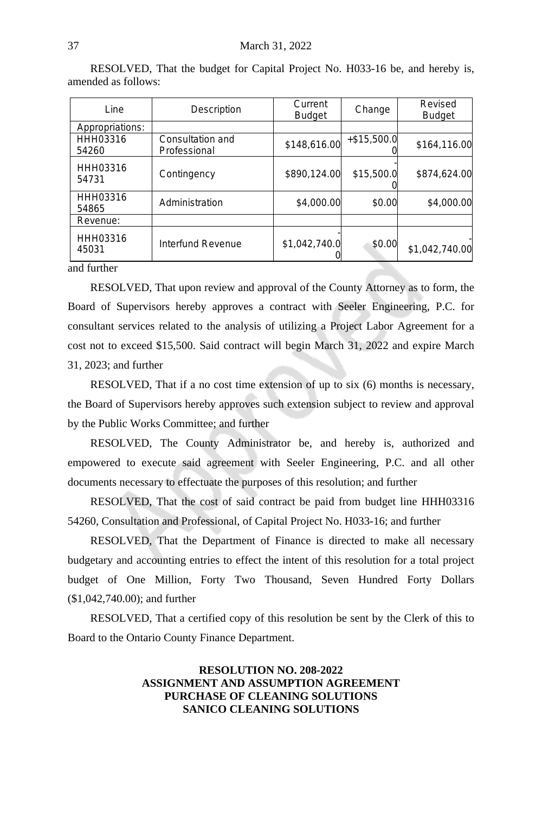| Line              | Description                      | Current<br><b>Budget</b> | Change        | Revised<br><b>Budget</b> |
|-------------------|----------------------------------|--------------------------|---------------|--------------------------|
| Appropriations:   |                                  |                          |               |                          |
| HHH03316<br>54260 | Consultation and<br>Professional | \$148,616.00             | $+ $15,500.0$ | \$164,116.00             |
| HHH03316<br>54731 | Contingency                      | \$890,124.00             | \$15,500.0    | \$874,624.00             |
| HHH03316<br>54865 | Administration                   | \$4,000.00               | \$0.00        | \$4,000.00               |
| Revenue:          |                                  |                          |               |                          |
| HHH03316<br>45031 | Interfund Revenue                | \$1,042,740.0            | \$0.00        | \$1,042,740.00           |
| and furthor       |                                  |                          |               |                          |

RESOLVED, That the budget for Capital Project No. H033-16 be, and hereby is, amended as follows:

and further

RESOLVED, That upon review and approval of the County Attorney as to form, the Board of Supervisors hereby approves a contract with Seeler Engineering, P.C. for consultant services related to the analysis of utilizing a Project Labor Agreement for a cost not to exceed \$15,500. Said contract will begin March 31, 2022 and expire March 31, 2023; and further

RESOLVED, That if a no cost time extension of up to six (6) months is necessary, the Board of Supervisors hereby approves such extension subject to review and approval by the Public Works Committee; and further

RESOLVED, The County Administrator be, and hereby is, authorized and empowered to execute said agreement with Seeler Engineering, P.C. and all other documents necessary to effectuate the purposes of this resolution; and further

RESOLVED, That the cost of said contract be paid from budget line HHH03316 54260, Consultation and Professional, of Capital Project No. H033-16; and further

RESOLVED, That the Department of Finance is directed to make all necessary budgetary and accounting entries to effect the intent of this resolution for a total project budget of One Million, Forty Two Thousand, Seven Hundred Forty Dollars (\$1,042,740.00); and further

RESOLVED, That a certified copy of this resolution be sent by the Clerk of this to Board to the Ontario County Finance Department.

# **RESOLUTION NO. 208-2022 ASSIGNMENT AND ASSUMPTION AGREEMENT PURCHASE OF CLEANING SOLUTIONS SANICO CLEANING SOLUTIONS**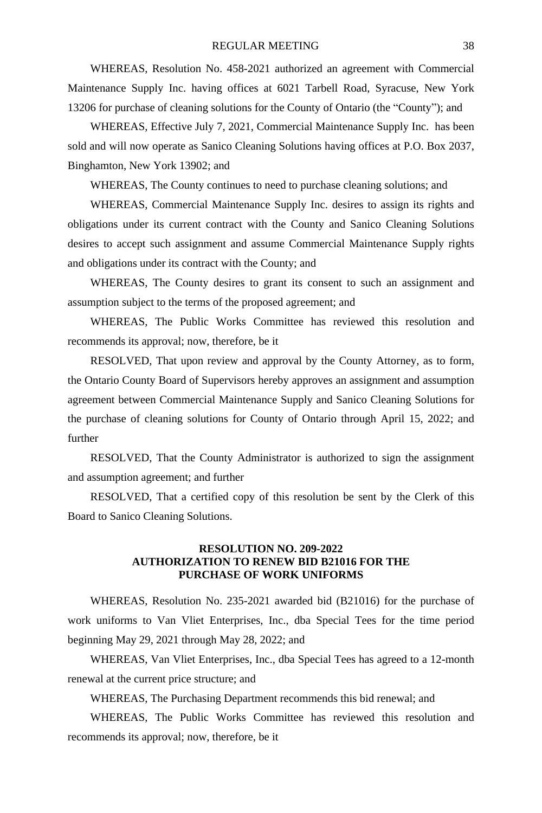WHEREAS, Resolution No. 458-2021 authorized an agreement with Commercial Maintenance Supply Inc. having offices at 6021 Tarbell Road, Syracuse, New York 13206 for purchase of cleaning solutions for the County of Ontario (the "County"); and

WHEREAS, Effective July 7, 2021, Commercial Maintenance Supply Inc. has been sold and will now operate as Sanico Cleaning Solutions having offices at P.O. Box 2037, Binghamton, New York 13902; and

WHEREAS, The County continues to need to purchase cleaning solutions; and

WHEREAS, Commercial Maintenance Supply Inc. desires to assign its rights and obligations under its current contract with the County and Sanico Cleaning Solutions desires to accept such assignment and assume Commercial Maintenance Supply rights and obligations under its contract with the County; and

WHEREAS, The County desires to grant its consent to such an assignment and assumption subject to the terms of the proposed agreement; and

WHEREAS, The Public Works Committee has reviewed this resolution and recommends its approval; now, therefore, be it

RESOLVED, That upon review and approval by the County Attorney, as to form, the Ontario County Board of Supervisors hereby approves an assignment and assumption agreement between Commercial Maintenance Supply and Sanico Cleaning Solutions for the purchase of cleaning solutions for County of Ontario through April 15, 2022; and further

RESOLVED, That the County Administrator is authorized to sign the assignment and assumption agreement; and further

RESOLVED, That a certified copy of this resolution be sent by the Clerk of this Board to Sanico Cleaning Solutions.

## **RESOLUTION NO. 209-2022 AUTHORIZATION TO RENEW BID B21016 FOR THE PURCHASE OF WORK UNIFORMS**

WHEREAS, Resolution No. 235-2021 awarded bid (B21016) for the purchase of work uniforms to Van Vliet Enterprises, Inc., dba Special Tees for the time period beginning May 29, 2021 through May 28, 2022; and

WHEREAS, Van Vliet Enterprises, Inc., dba Special Tees has agreed to a 12-month renewal at the current price structure; and

WHEREAS, The Purchasing Department recommends this bid renewal; and

WHEREAS, The Public Works Committee has reviewed this resolution and recommends its approval; now, therefore, be it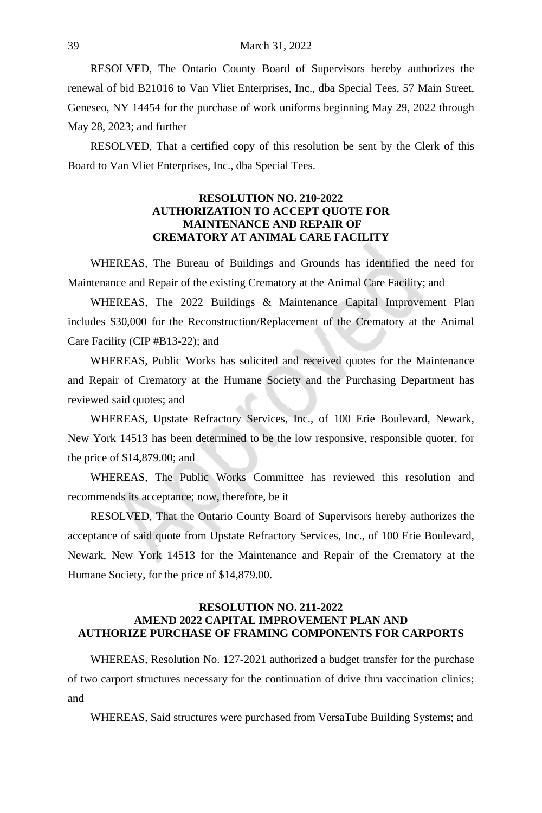RESOLVED, The Ontario County Board of Supervisors hereby authorizes the renewal of bid B21016 to Van Vliet Enterprises, Inc., dba Special Tees, 57 Main Street, Geneseo, NY 14454 for the purchase of work uniforms beginning May 29, 2022 through May 28, 2023; and further

RESOLVED, That a certified copy of this resolution be sent by the Clerk of this Board to Van Vliet Enterprises, Inc., dba Special Tees.

## **RESOLUTION NO. 210-2022 AUTHORIZATION TO ACCEPT QUOTE FOR MAINTENANCE AND REPAIR OF CREMATORY AT ANIMAL CARE FACILITY**

WHEREAS, The Bureau of Buildings and Grounds has identified the need for Maintenance and Repair of the existing Crematory at the Animal Care Facility; and

WHEREAS, The 2022 Buildings & Maintenance Capital Improvement Plan includes \$30,000 for the Reconstruction/Replacement of the Crematory at the Animal Care Facility (CIP #B13-22); and

WHEREAS, Public Works has solicited and received quotes for the Maintenance and Repair of Crematory at the Humane Society and the Purchasing Department has reviewed said quotes; and

WHEREAS, Upstate Refractory Services, Inc., of 100 Erie Boulevard, Newark, New York 14513 has been determined to be the low responsive, responsible quoter, for the price of \$14,879.00; and

WHEREAS, The Public Works Committee has reviewed this resolution and recommends its acceptance; now, therefore, be it

RESOLVED, That the Ontario County Board of Supervisors hereby authorizes the acceptance of said quote from Upstate Refractory Services, Inc., of 100 Erie Boulevard, Newark, New York 14513 for the Maintenance and Repair of the Crematory at the Humane Society, for the price of \$14,879.00.

#### **RESOLUTION NO. 211-2022 AMEND 2022 CAPITAL IMPROVEMENT PLAN AND AUTHORIZE PURCHASE OF FRAMING COMPONENTS FOR CARPORTS**

WHEREAS, Resolution No. 127-2021 authorized a budget transfer for the purchase of two carport structures necessary for the continuation of drive thru vaccination clinics; and

WHEREAS, Said structures were purchased from VersaTube Building Systems; and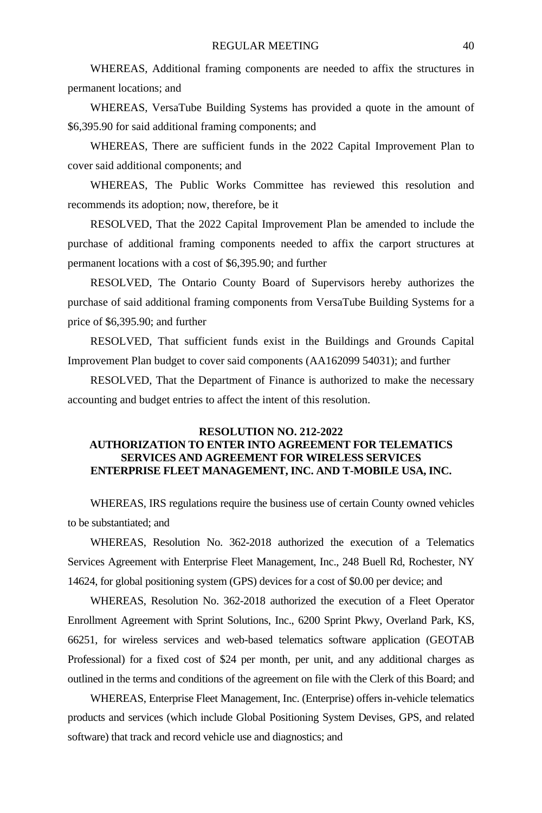WHEREAS, Additional framing components are needed to affix the structures in permanent locations; and

WHEREAS, VersaTube Building Systems has provided a quote in the amount of \$6,395.90 for said additional framing components; and

WHEREAS, There are sufficient funds in the 2022 Capital Improvement Plan to cover said additional components; and

WHEREAS, The Public Works Committee has reviewed this resolution and recommends its adoption; now, therefore, be it

RESOLVED, That the 2022 Capital Improvement Plan be amended to include the purchase of additional framing components needed to affix the carport structures at permanent locations with a cost of \$6,395.90; and further

RESOLVED, The Ontario County Board of Supervisors hereby authorizes the purchase of said additional framing components from VersaTube Building Systems for a price of \$6,395.90; and further

RESOLVED, That sufficient funds exist in the Buildings and Grounds Capital Improvement Plan budget to cover said components (AA162099 54031); and further

RESOLVED, That the Department of Finance is authorized to make the necessary accounting and budget entries to affect the intent of this resolution.

# **RESOLUTION NO. 212-2022 AUTHORIZATION TO ENTER INTO AGREEMENT FOR TELEMATICS SERVICES AND AGREEMENT FOR WIRELESS SERVICES ENTERPRISE FLEET MANAGEMENT, INC. AND T-MOBILE USA, INC.**

WHEREAS, IRS regulations require the business use of certain County owned vehicles to be substantiated; and

WHEREAS, Resolution No. 362-2018 authorized the execution of a Telematics Services Agreement with Enterprise Fleet Management, Inc., 248 Buell Rd, Rochester, NY 14624, for global positioning system (GPS) devices for a cost of \$0.00 per device; and

WHEREAS, Resolution No. 362-2018 authorized the execution of a Fleet Operator Enrollment Agreement with Sprint Solutions, Inc., 6200 Sprint Pkwy, Overland Park, KS, 66251, for wireless services and web-based telematics software application (GEOTAB Professional) for a fixed cost of \$24 per month, per unit, and any additional charges as outlined in the terms and conditions of the agreement on file with the Clerk of this Board; and

WHEREAS, Enterprise Fleet Management, Inc. (Enterprise) offers in-vehicle telematics products and services (which include Global Positioning System Devises, GPS, and related software) that track and record vehicle use and diagnostics; and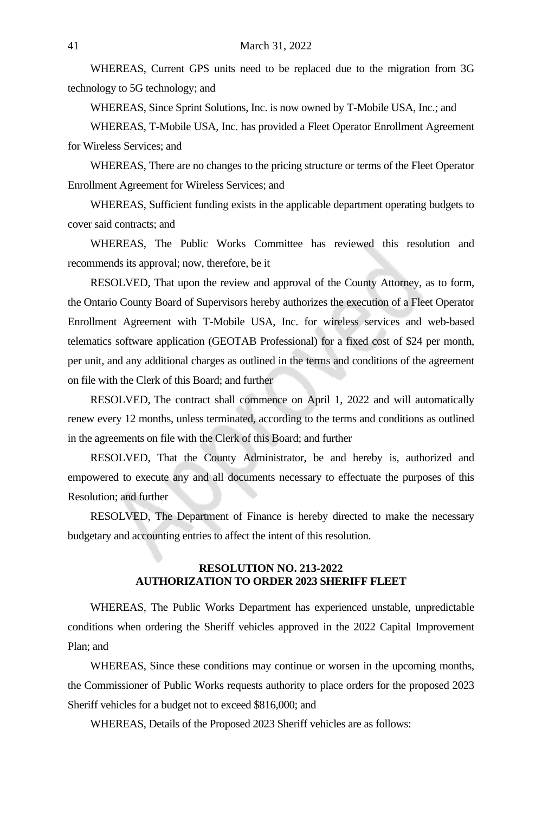WHEREAS, Current GPS units need to be replaced due to the migration from 3G technology to 5G technology; and

WHEREAS, Since Sprint Solutions, Inc. is now owned by T-Mobile USA, Inc.; and

WHEREAS, T-Mobile USA, Inc. has provided a Fleet Operator Enrollment Agreement for Wireless Services; and

WHEREAS, There are no changes to the pricing structure or terms of the Fleet Operator Enrollment Agreement for Wireless Services; and

WHEREAS, Sufficient funding exists in the applicable department operating budgets to cover said contracts; and

WHEREAS, The Public Works Committee has reviewed this resolution and recommends its approval; now, therefore, be it

RESOLVED, That upon the review and approval of the County Attorney, as to form, the Ontario County Board of Supervisors hereby authorizes the execution of a Fleet Operator Enrollment Agreement with T-Mobile USA, Inc. for wireless services and web-based telematics software application (GEOTAB Professional) for a fixed cost of \$24 per month, per unit, and any additional charges as outlined in the terms and conditions of the agreement on file with the Clerk of this Board; and further

RESOLVED, The contract shall commence on April 1, 2022 and will automatically renew every 12 months, unless terminated, according to the terms and conditions as outlined in the agreements on file with the Clerk of this Board; and further

RESOLVED, That the County Administrator, be and hereby is, authorized and empowered to execute any and all documents necessary to effectuate the purposes of this Resolution; and further

RESOLVED, The Department of Finance is hereby directed to make the necessary budgetary and accounting entries to affect the intent of this resolution.

#### **RESOLUTION NO. 213-2022 AUTHORIZATION TO ORDER 2023 SHERIFF FLEET**

WHEREAS, The Public Works Department has experienced unstable, unpredictable conditions when ordering the Sheriff vehicles approved in the 2022 Capital Improvement Plan; and

WHEREAS, Since these conditions may continue or worsen in the upcoming months, the Commissioner of Public Works requests authority to place orders for the proposed 2023 Sheriff vehicles for a budget not to exceed \$816,000; and

WHEREAS, Details of the Proposed 2023 Sheriff vehicles are as follows: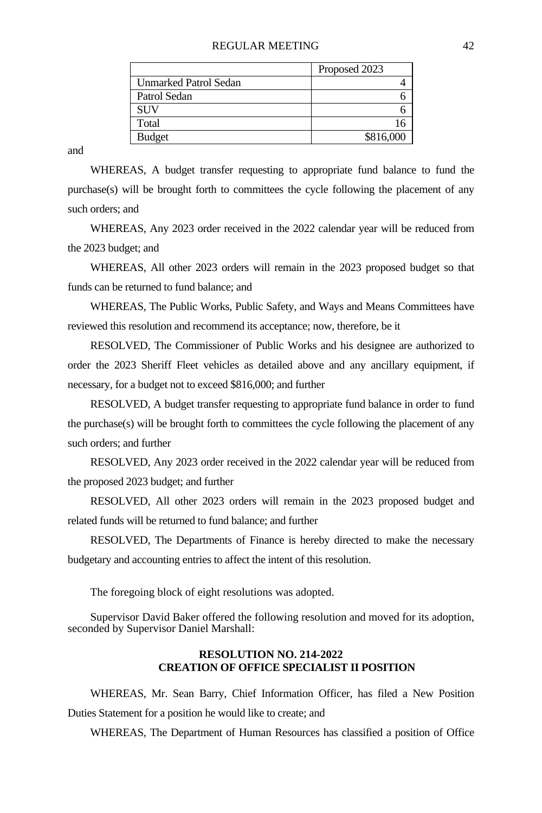#### REGULAR MEETING 42

|                              | Proposed 2023 |
|------------------------------|---------------|
| <b>Unmarked Patrol Sedan</b> |               |
| Patrol Sedan                 |               |
| <b>SUV</b>                   |               |
| Total                        |               |
| <b>Budget</b>                | \$816,000     |

and

WHEREAS, A budget transfer requesting to appropriate fund balance to fund the purchase(s) will be brought forth to committees the cycle following the placement of any such orders; and

WHEREAS, Any 2023 order received in the 2022 calendar year will be reduced from the 2023 budget; and

WHEREAS, All other 2023 orders will remain in the 2023 proposed budget so that funds can be returned to fund balance; and

WHEREAS, The Public Works, Public Safety, and Ways and Means Committees have reviewed this resolution and recommend its acceptance; now, therefore, be it

RESOLVED, The Commissioner of Public Works and his designee are authorized to order the 2023 Sheriff Fleet vehicles as detailed above and any ancillary equipment, if necessary, for a budget not to exceed \$816,000; and further

RESOLVED, A budget transfer requesting to appropriate fund balance in order to fund the purchase $(s)$  will be brought forth to committees the cycle following the placement of any such orders; and further

RESOLVED, Any 2023 order received in the 2022 calendar year will be reduced from the proposed 2023 budget; and further

RESOLVED, All other 2023 orders will remain in the 2023 proposed budget and related funds will be returned to fund balance; and further

RESOLVED, The Departments of Finance is hereby directed to make the necessary budgetary and accounting entries to affect the intent of this resolution.

The foregoing block of eight resolutions was adopted.

Supervisor David Baker offered the following resolution and moved for its adoption, seconded by Supervisor Daniel Marshall:

#### **RESOLUTION NO. 214-2022 CREATION OF OFFICE SPECIALIST II POSITION**

WHEREAS, Mr. Sean Barry, Chief Information Officer, has filed a New Position Duties Statement for a position he would like to create; and

WHEREAS, The Department of Human Resources has classified a position of Office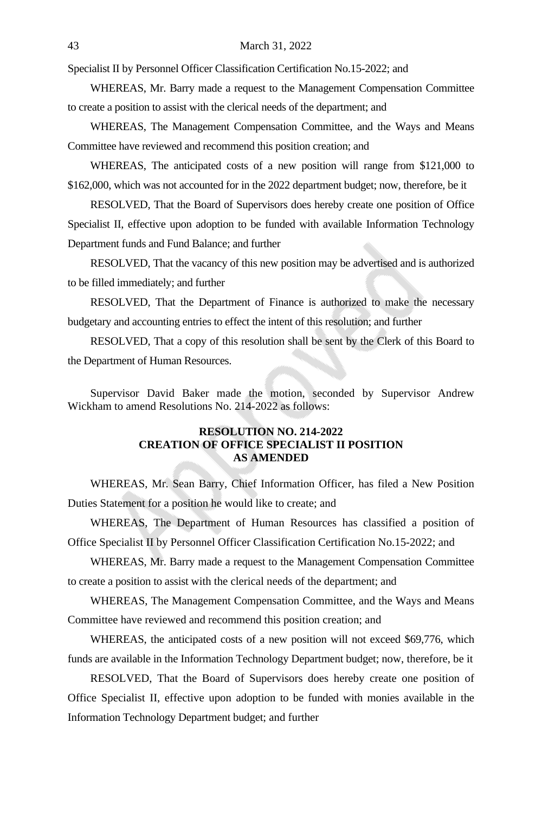Specialist II by Personnel Officer Classification Certification No.15-2022; and

WHEREAS, Mr. Barry made a request to the Management Compensation Committee to create a position to assist with the clerical needs of the department; and

WHEREAS, The Management Compensation Committee, and the Ways and Means Committee have reviewed and recommend this position creation; and

WHEREAS, The anticipated costs of a new position will range from \$121,000 to \$162,000, which was not accounted for in the 2022 department budget; now, therefore, be it

RESOLVED, That the Board of Supervisors does hereby create one position of Office Specialist II, effective upon adoption to be funded with available Information Technology Department funds and Fund Balance; and further

RESOLVED, That the vacancy of this new position may be advertised and is authorized to be filled immediately; and further

RESOLVED, That the Department of Finance is authorized to make the necessary budgetary and accounting entries to effect the intent of this resolution; and further

RESOLVED, That a copy of this resolution shall be sent by the Clerk of this Board to the Department of Human Resources.

Supervisor David Baker made the motion, seconded by Supervisor Andrew Wickham to amend Resolutions No. 214-2022 as follows:

## **RESOLUTION NO. 214-2022 CREATION OF OFFICE SPECIALIST II POSITION AS AMENDED**

WHEREAS, Mr. Sean Barry, Chief Information Officer, has filed a New Position Duties Statement for a position he would like to create; and

WHEREAS, The Department of Human Resources has classified a position of Office Specialist II by Personnel Officer Classification Certification No.15-2022; and

WHEREAS, Mr. Barry made a request to the Management Compensation Committee to create a position to assist with the clerical needs of the department; and

WHEREAS, The Management Compensation Committee, and the Ways and Means Committee have reviewed and recommend this position creation; and

WHEREAS, the anticipated costs of a new position will not exceed \$69,776, which funds are available in the Information Technology Department budget; now, therefore, be it

RESOLVED, That the Board of Supervisors does hereby create one position of Office Specialist II, effective upon adoption to be funded with monies available in the Information Technology Department budget; and further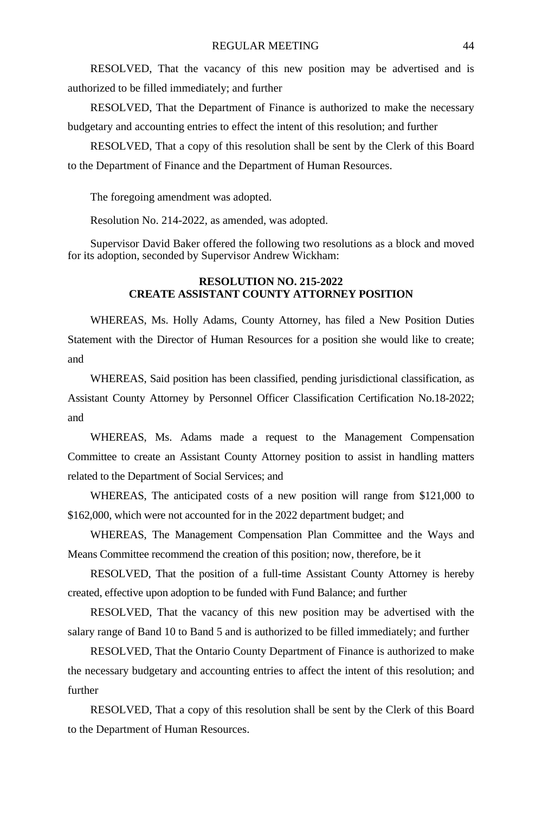RESOLVED, That the vacancy of this new position may be advertised and is authorized to be filled immediately; and further

RESOLVED, That the Department of Finance is authorized to make the necessary budgetary and accounting entries to effect the intent of this resolution; and further

RESOLVED, That a copy of this resolution shall be sent by the Clerk of this Board to the Department of Finance and the Department of Human Resources.

The foregoing amendment was adopted.

Resolution No. 214-2022, as amended, was adopted.

Supervisor David Baker offered the following two resolutions as a block and moved for its adoption, seconded by Supervisor Andrew Wickham:

## **RESOLUTION NO. 215-2022 CREATE ASSISTANT COUNTY ATTORNEY POSITION**

WHEREAS, Ms. Holly Adams, County Attorney, has filed a New Position Duties Statement with the Director of Human Resources for a position she would like to create; and

WHEREAS, Said position has been classified, pending jurisdictional classification, as Assistant County Attorney by Personnel Officer Classification Certification No.18-2022; and

WHEREAS, Ms. Adams made a request to the Management Compensation Committee to create an Assistant County Attorney position to assist in handling matters related to the Department of Social Services; and

WHEREAS, The anticipated costs of a new position will range from \$121,000 to \$162,000, which were not accounted for in the 2022 department budget; and

WHEREAS, The Management Compensation Plan Committee and the Ways and Means Committee recommend the creation of this position; now, therefore, be it

RESOLVED, That the position of a full-time Assistant County Attorney is hereby created, effective upon adoption to be funded with Fund Balance; and further

RESOLVED, That the vacancy of this new position may be advertised with the salary range of Band 10 to Band 5 and is authorized to be filled immediately; and further

RESOLVED, That the Ontario County Department of Finance is authorized to make the necessary budgetary and accounting entries to affect the intent of this resolution; and further

RESOLVED, That a copy of this resolution shall be sent by the Clerk of this Board to the Department of Human Resources.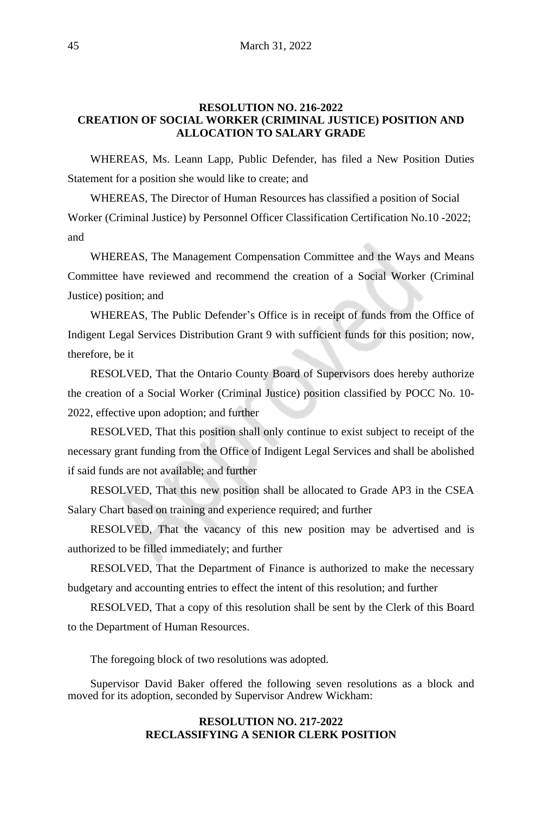# **RESOLUTION NO. 216-2022 CREATION OF SOCIAL WORKER (CRIMINAL JUSTICE) POSITION AND ALLOCATION TO SALARY GRADE**

WHEREAS, Ms. Leann Lapp, Public Defender, has filed a New Position Duties Statement for a position she would like to create; and

WHEREAS, The Director of Human Resources has classified a position of Social Worker (Criminal Justice) by Personnel Officer Classification Certification No.10 -2022; and

WHEREAS, The Management Compensation Committee and the Ways and Means Committee have reviewed and recommend the creation of a Social Worker (Criminal Justice) position; and

WHEREAS, The Public Defender's Office is in receipt of funds from the Office of Indigent Legal Services Distribution Grant 9 with sufficient funds for this position; now, therefore, be it

RESOLVED, That the Ontario County Board of Supervisors does hereby authorize the creation of a Social Worker (Criminal Justice) position classified by POCC No. 10- 2022, effective upon adoption; and further

RESOLVED, That this position shall only continue to exist subject to receipt of the necessary grant funding from the Office of Indigent Legal Services and shall be abolished if said funds are not available; and further

RESOLVED, That this new position shall be allocated to Grade AP3 in the CSEA Salary Chart based on training and experience required; and further

RESOLVED, That the vacancy of this new position may be advertised and is authorized to be filled immediately; and further

RESOLVED, That the Department of Finance is authorized to make the necessary budgetary and accounting entries to effect the intent of this resolution; and further

RESOLVED, That a copy of this resolution shall be sent by the Clerk of this Board to the Department of Human Resources.

The foregoing block of two resolutions was adopted.

Supervisor David Baker offered the following seven resolutions as a block and moved for its adoption, seconded by Supervisor Andrew Wickham:

# **RESOLUTION NO. 217-2022 RECLASSIFYING A SENIOR CLERK POSITION**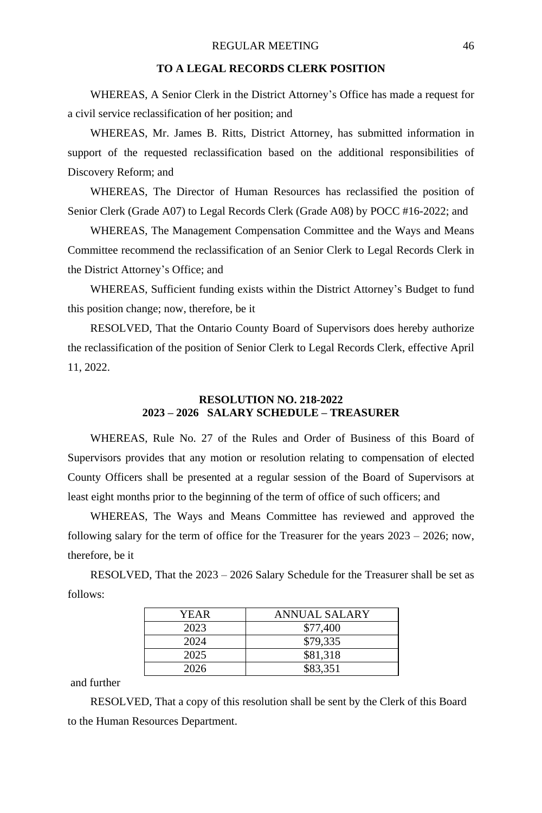## **TO A LEGAL RECORDS CLERK POSITION**

WHEREAS, A Senior Clerk in the District Attorney's Office has made a request for a civil service reclassification of her position; and

WHEREAS, Mr. James B. Ritts, District Attorney, has submitted information in support of the requested reclassification based on the additional responsibilities of Discovery Reform; and

WHEREAS, The Director of Human Resources has reclassified the position of Senior Clerk (Grade A07) to Legal Records Clerk (Grade A08) by POCC #16-2022; and

WHEREAS, The Management Compensation Committee and the Ways and Means Committee recommend the reclassification of an Senior Clerk to Legal Records Clerk in the District Attorney's Office; and

WHEREAS, Sufficient funding exists within the District Attorney's Budget to fund this position change; now, therefore, be it

RESOLVED, That the Ontario County Board of Supervisors does hereby authorize the reclassification of the position of Senior Clerk to Legal Records Clerk, effective April 11, 2022.

## **RESOLUTION NO. 218-2022 2023 – 2026 SALARY SCHEDULE – TREASURER**

WHEREAS, Rule No. 27 of the Rules and Order of Business of this Board of Supervisors provides that any motion or resolution relating to compensation of elected County Officers shall be presented at a regular session of the Board of Supervisors at least eight months prior to the beginning of the term of office of such officers; and

WHEREAS, The Ways and Means Committee has reviewed and approved the following salary for the term of office for the Treasurer for the years 2023 – 2026; now, therefore, be it

RESOLVED, That the 2023 – 2026 Salary Schedule for the Treasurer shall be set as follows:

| YEAR | ANNUAL SALARY |
|------|---------------|
| 2023 | \$77,400      |
| 2024 | \$79.335      |
| 2025 | \$81,318      |
| 2026 | \$83,351      |

and further

RESOLVED, That a copy of this resolution shall be sent by the Clerk of this Board to the Human Resources Department.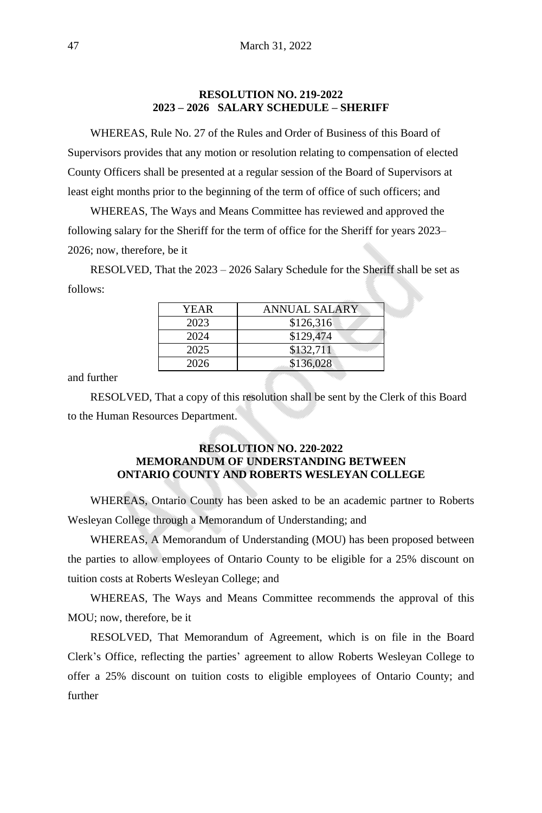## **RESOLUTION NO. 219-2022 2023 – 2026 SALARY SCHEDULE – SHERIFF**

WHEREAS, Rule No. 27 of the Rules and Order of Business of this Board of Supervisors provides that any motion or resolution relating to compensation of elected County Officers shall be presented at a regular session of the Board of Supervisors at least eight months prior to the beginning of the term of office of such officers; and

WHEREAS, The Ways and Means Committee has reviewed and approved the following salary for the Sheriff for the term of office for the Sheriff for years 2023– 2026; now, therefore, be it

RESOLVED, That the 2023 – 2026 Salary Schedule for the Sheriff shall be set as follows:

| YEAR | ANNUAL SALARY |
|------|---------------|
| 2023 | \$126,316     |
| 2024 | \$129,474     |
| 2025 | \$132,711     |
| 2026 | \$136,028     |

and further

RESOLVED, That a copy of this resolution shall be sent by the Clerk of this Board to the Human Resources Department.

# **RESOLUTION NO. 220-2022 MEMORANDUM OF UNDERSTANDING BETWEEN ONTARIO COUNTY AND ROBERTS WESLEYAN COLLEGE**

WHEREAS, Ontario County has been asked to be an academic partner to Roberts Wesleyan College through a Memorandum of Understanding; and

WHEREAS, A Memorandum of Understanding (MOU) has been proposed between the parties to allow employees of Ontario County to be eligible for a 25% discount on tuition costs at Roberts Wesleyan College; and

WHEREAS, The Ways and Means Committee recommends the approval of this MOU; now, therefore, be it

RESOLVED, That Memorandum of Agreement, which is on file in the Board Clerk's Office, reflecting the parties' agreement to allow Roberts Wesleyan College to offer a 25% discount on tuition costs to eligible employees of Ontario County; and further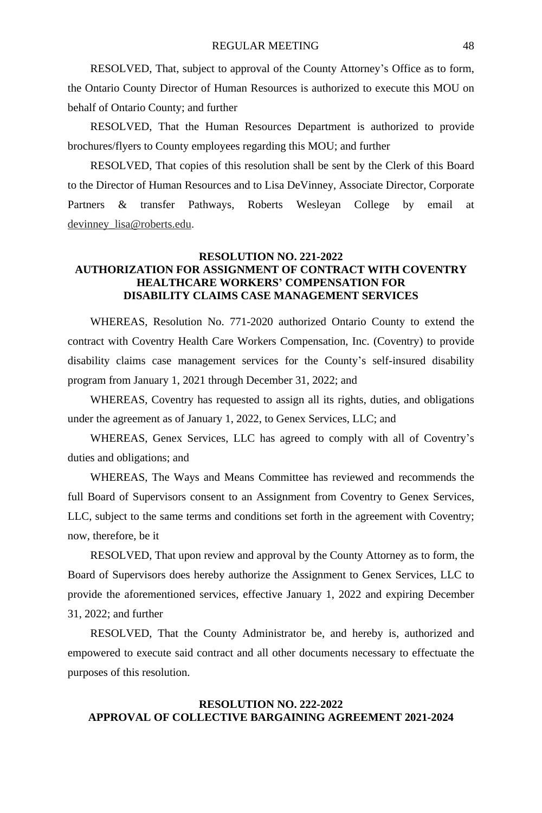## REGULAR MEETING 48

RESOLVED, That, subject to approval of the County Attorney's Office as to form, the Ontario County Director of Human Resources is authorized to execute this MOU on behalf of Ontario County; and further

RESOLVED, That the Human Resources Department is authorized to provide brochures/flyers to County employees regarding this MOU; and further

RESOLVED, That copies of this resolution shall be sent by the Clerk of this Board to the Director of Human Resources and to Lisa DeVinney, Associate Director, Corporate Partners & transfer Pathways, Roberts Wesleyan College by email at devinney\_lisa@roberts.edu.

# **RESOLUTION NO. 221-2022 AUTHORIZATION FOR ASSIGNMENT OF CONTRACT WITH COVENTRY HEALTHCARE WORKERS' COMPENSATION FOR DISABILITY CLAIMS CASE MANAGEMENT SERVICES**

WHEREAS, Resolution No. 771-2020 authorized Ontario County to extend the contract with Coventry Health Care Workers Compensation, Inc. (Coventry) to provide disability claims case management services for the County's self-insured disability program from January 1, 2021 through December 31, 2022; and

WHEREAS, Coventry has requested to assign all its rights, duties, and obligations under the agreement as of January 1, 2022, to Genex Services, LLC; and

WHEREAS, Genex Services, LLC has agreed to comply with all of Coventry's duties and obligations; and

WHEREAS, The Ways and Means Committee has reviewed and recommends the full Board of Supervisors consent to an Assignment from Coventry to Genex Services, LLC, subject to the same terms and conditions set forth in the agreement with Coventry; now, therefore, be it

RESOLVED, That upon review and approval by the County Attorney as to form, the Board of Supervisors does hereby authorize the Assignment to Genex Services, LLC to provide the aforementioned services, effective January 1, 2022 and expiring December 31, 2022; and further

RESOLVED, That the County Administrator be, and hereby is, authorized and empowered to execute said contract and all other documents necessary to effectuate the purposes of this resolution.

# **RESOLUTION NO. 222-2022 APPROVAL OF COLLECTIVE BARGAINING AGREEMENT 2021-2024**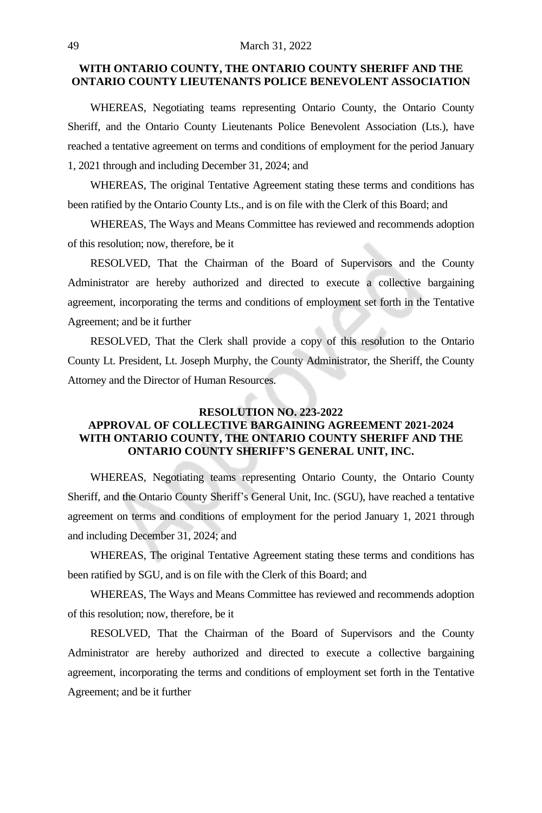#### 49 March 31, 2022

#### **WITH ONTARIO COUNTY, THE ONTARIO COUNTY SHERIFF AND THE ONTARIO COUNTY LIEUTENANTS POLICE BENEVOLENT ASSOCIATION**

WHEREAS, Negotiating teams representing Ontario County, the Ontario County Sheriff, and the Ontario County Lieutenants Police Benevolent Association (Lts.), have reached a tentative agreement on terms and conditions of employment for the period January 1, 2021 through and including December 31, 2024; and

WHEREAS, The original Tentative Agreement stating these terms and conditions has been ratified by the Ontario County Lts., and is on file with the Clerk of this Board; and

WHEREAS, The Ways and Means Committee has reviewed and recommends adoption of this resolution; now, therefore, be it

RESOLVED, That the Chairman of the Board of Supervisors and the County Administrator are hereby authorized and directed to execute a collective bargaining agreement, incorporating the terms and conditions of employment set forth in the Tentative Agreement; and be it further

RESOLVED, That the Clerk shall provide a copy of this resolution to the Ontario County Lt. President, Lt. Joseph Murphy, the County Administrator, the Sheriff, the County Attorney and the Director of Human Resources.

# **RESOLUTION NO. 223-2022 APPROVAL OF COLLECTIVE BARGAINING AGREEMENT 2021-2024 WITH ONTARIO COUNTY, THE ONTARIO COUNTY SHERIFF AND THE ONTARIO COUNTY SHERIFF'S GENERAL UNIT, INC.**

WHEREAS, Negotiating teams representing Ontario County, the Ontario County Sheriff, and the Ontario County Sheriff's General Unit, Inc. (SGU), have reached a tentative agreement on terms and conditions of employment for the period January 1, 2021 through and including December 31, 2024; and

WHEREAS, The original Tentative Agreement stating these terms and conditions has been ratified by SGU, and is on file with the Clerk of this Board; and

WHEREAS, The Ways and Means Committee has reviewed and recommends adoption of this resolution; now, therefore, be it

RESOLVED, That the Chairman of the Board of Supervisors and the County Administrator are hereby authorized and directed to execute a collective bargaining agreement, incorporating the terms and conditions of employment set forth in the Tentative Agreement; and be it further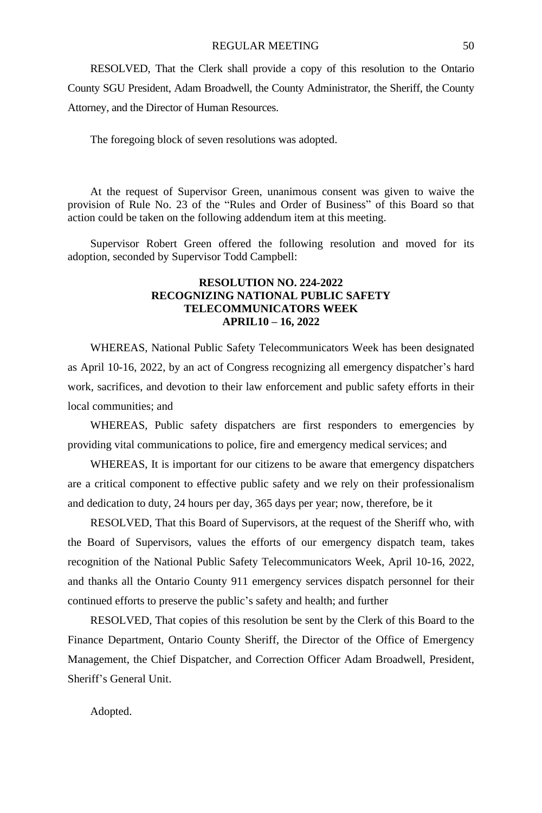RESOLVED, That the Clerk shall provide a copy of this resolution to the Ontario County SGU President, Adam Broadwell, the County Administrator, the Sheriff, the County Attorney, and the Director of Human Resources.

The foregoing block of seven resolutions was adopted.

At the request of Supervisor Green, unanimous consent was given to waive the provision of Rule No. 23 of the "Rules and Order of Business" of this Board so that action could be taken on the following addendum item at this meeting.

Supervisor Robert Green offered the following resolution and moved for its adoption, seconded by Supervisor Todd Campbell:

## **RESOLUTION NO. 224-2022 RECOGNIZING NATIONAL PUBLIC SAFETY TELECOMMUNICATORS WEEK APRIL10 – 16, 2022**

WHEREAS, National Public Safety Telecommunicators Week has been designated as April 10-16, 2022, by an act of Congress recognizing all emergency dispatcher's hard work, sacrifices, and devotion to their law enforcement and public safety efforts in their local communities; and

WHEREAS, Public safety dispatchers are first responders to emergencies by providing vital communications to police, fire and emergency medical services; and

WHEREAS, It is important for our citizens to be aware that emergency dispatchers are a critical component to effective public safety and we rely on their professionalism and dedication to duty, 24 hours per day, 365 days per year; now, therefore, be it

RESOLVED, That this Board of Supervisors, at the request of the Sheriff who, with the Board of Supervisors, values the efforts of our emergency dispatch team, takes recognition of the National Public Safety Telecommunicators Week, April 10-16, 2022, and thanks all the Ontario County 911 emergency services dispatch personnel for their continued efforts to preserve the public's safety and health; and further

RESOLVED, That copies of this resolution be sent by the Clerk of this Board to the Finance Department, Ontario County Sheriff, the Director of the Office of Emergency Management, the Chief Dispatcher, and Correction Officer Adam Broadwell, President, Sheriff's General Unit.

Adopted.